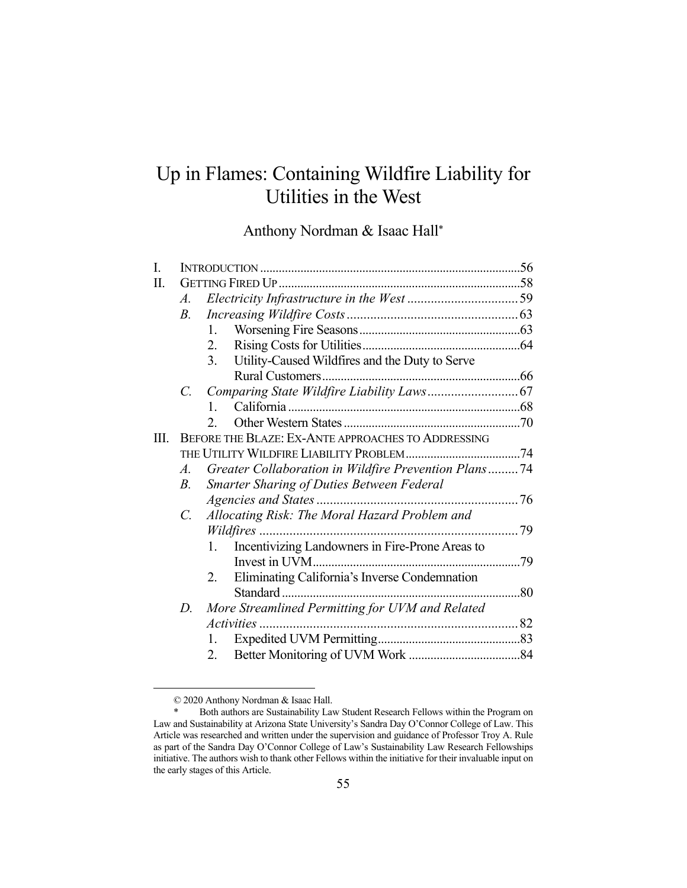# Up in Flames: Containing Wildfire Liability for Utilities in the West

Anthony Nordman & Isaac Hall\*

| I.   |                                                    |                                                       |  |  |
|------|----------------------------------------------------|-------------------------------------------------------|--|--|
| П.   |                                                    |                                                       |  |  |
|      | $A_{\cdot}$                                        |                                                       |  |  |
|      | $B_{\cdot}$                                        |                                                       |  |  |
|      |                                                    | 1.                                                    |  |  |
|      |                                                    | 2.                                                    |  |  |
|      |                                                    | Utility-Caused Wildfires and the Duty to Serve<br>3.  |  |  |
|      |                                                    |                                                       |  |  |
|      |                                                    |                                                       |  |  |
|      |                                                    | $\mathbf{1}$                                          |  |  |
|      |                                                    | 2 <sub>1</sub>                                        |  |  |
| III. | BEFORE THE BLAZE: EX-ANTE APPROACHES TO ADDRESSING |                                                       |  |  |
|      |                                                    |                                                       |  |  |
|      | $A_{\cdot}$                                        | Greater Collaboration in Wildfire Prevention Plans74  |  |  |
|      | <i>B</i> .                                         | <b>Smarter Sharing of Duties Between Federal</b>      |  |  |
|      |                                                    |                                                       |  |  |
|      | $C_{\cdot}$                                        | Allocating Risk: The Moral Hazard Problem and         |  |  |
|      |                                                    |                                                       |  |  |
|      |                                                    | Incentivizing Landowners in Fire-Prone Areas to<br>1. |  |  |
|      |                                                    |                                                       |  |  |
|      |                                                    | Eliminating California's Inverse Condemnation<br>2.   |  |  |
|      |                                                    |                                                       |  |  |
|      | D.                                                 | More Streamlined Permitting for UVM and Related       |  |  |
|      |                                                    |                                                       |  |  |
|      |                                                    | 1.                                                    |  |  |
|      |                                                    | 2.                                                    |  |  |

 <sup>© 2020</sup> Anthony Nordman & Isaac Hall.

Both authors are Sustainability Law Student Research Fellows within the Program on Law and Sustainability at Arizona State University's Sandra Day O'Connor College of Law. This Article was researched and written under the supervision and guidance of Professor Troy A. Rule as part of the Sandra Day O'Connor College of Law's Sustainability Law Research Fellowships initiative. The authors wish to thank other Fellows within the initiative for their invaluable input on the early stages of this Article.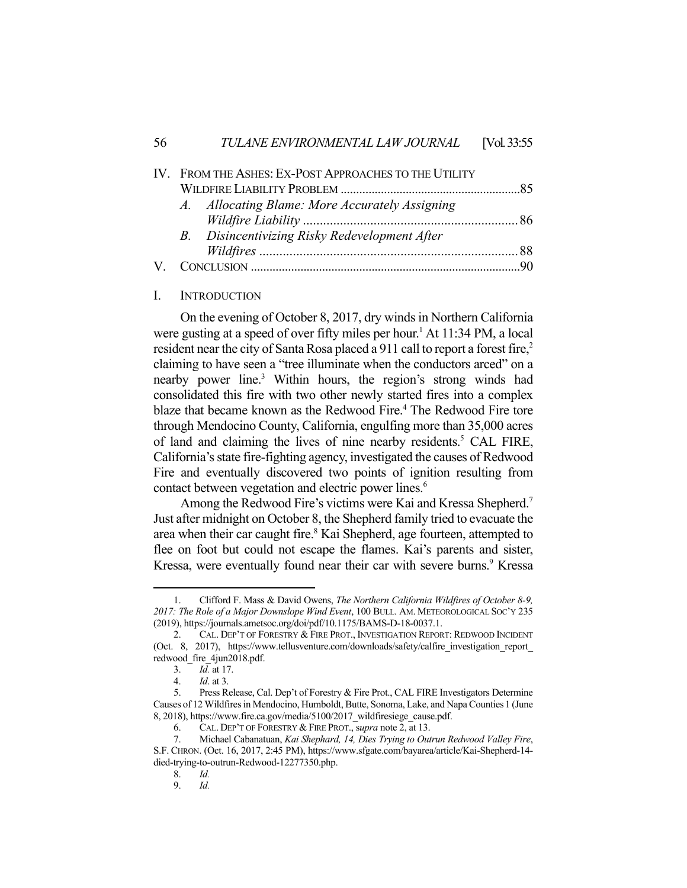| IV. FROM THE ASHES: EX-POST APPROACHES TO THE UTILITY |  |
|-------------------------------------------------------|--|
|                                                       |  |
| A. Allocating Blame: More Accurately Assigning        |  |
|                                                       |  |
| B. Disincentivizing Risky Redevelopment After         |  |
|                                                       |  |
|                                                       |  |

#### I. INTRODUCTION

 On the evening of October 8, 2017, dry winds in Northern California were gusting at a speed of over fifty miles per hour.<sup>1</sup> At 11:34 PM, a local resident near the city of Santa Rosa placed a 911 call to report a forest fire,<sup>2</sup> claiming to have seen a "tree illuminate when the conductors arced" on a nearby power line.<sup>3</sup> Within hours, the region's strong winds had consolidated this fire with two other newly started fires into a complex blaze that became known as the Redwood Fire.<sup>4</sup> The Redwood Fire tore through Mendocino County, California, engulfing more than 35,000 acres of land and claiming the lives of nine nearby residents.<sup>5</sup> CAL FIRE, California's state fire-fighting agency, investigated the causes of Redwood Fire and eventually discovered two points of ignition resulting from contact between vegetation and electric power lines.<sup>6</sup>

Among the Redwood Fire's victims were Kai and Kressa Shepherd.<sup>7</sup> Just after midnight on October 8, the Shepherd family tried to evacuate the area when their car caught fire.<sup>8</sup> Kai Shepherd, age fourteen, attempted to flee on foot but could not escape the flames. Kai's parents and sister, Kressa, were eventually found near their car with severe burns.<sup>9</sup> Kressa

 <sup>1.</sup> Clifford F. Mass & David Owens, *The Northern California Wildfires of October 8-9, 2017: The Role of a Major Downslope Wind Event*, 100 BULL. AM. METEOROLOGICAL SOC'Y 235 (2019), https://journals.ametsoc.org/doi/pdf/10.1175/BAMS-D-18-0037.1.

 <sup>2.</sup> CAL. DEP'T OF FORESTRY & FIRE PROT., INVESTIGATION REPORT: REDWOOD INCIDENT (Oct. 8, 2017), https://www.tellusventure.com/downloads/safety/calfire\_investigation\_report\_ redwood\_fire\_4jun2018.pdf.

 <sup>3.</sup> *Id.* at 17.

 <sup>4.</sup> *Id*. at 3.

 <sup>5.</sup> Press Release, Cal. Dep't of Forestry & Fire Prot., CAL FIRE Investigators Determine Causes of 12 Wildfires in Mendocino, Humboldt, Butte, Sonoma, Lake, and Napa Counties1 (June 8, 2018), https://www.fire.ca.gov/media/5100/2017\_wildfiresiege\_cause.pdf.

 <sup>6.</sup> CAL. DEP'T OF FORESTRY & FIRE PROT., s*upra* note 2, at 13.

 <sup>7.</sup> Michael Cabanatuan, *Kai Shephard, 14, Dies Trying to Outrun Redwood Valley Fire*, S.F. CHRON. (Oct. 16, 2017, 2:45 PM), https://www.sfgate.com/bayarea/article/Kai-Shepherd-14 died-trying-to-outrun-Redwood-12277350.php.

 <sup>8.</sup> *Id.*

 <sup>9.</sup> *Id.*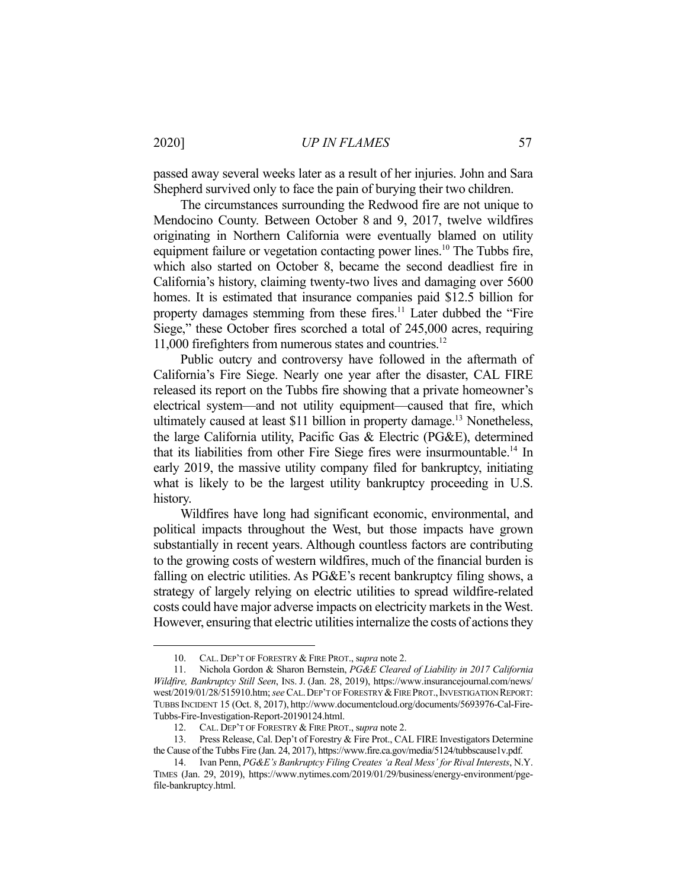passed away several weeks later as a result of her injuries. John and Sara Shepherd survived only to face the pain of burying their two children.

 The circumstances surrounding the Redwood fire are not unique to Mendocino County. Between October 8 and 9, 2017, twelve wildfires originating in Northern California were eventually blamed on utility equipment failure or vegetation contacting power lines.<sup>10</sup> The Tubbs fire, which also started on October 8, became the second deadliest fire in California's history, claiming twenty-two lives and damaging over 5600 homes. It is estimated that insurance companies paid \$12.5 billion for property damages stemming from these fires.<sup>11</sup> Later dubbed the "Fire Siege," these October fires scorched a total of 245,000 acres, requiring 11,000 firefighters from numerous states and countries.<sup>12</sup>

 Public outcry and controversy have followed in the aftermath of California's Fire Siege. Nearly one year after the disaster, CAL FIRE released its report on the Tubbs fire showing that a private homeowner's electrical system—and not utility equipment—caused that fire, which ultimately caused at least \$11 billion in property damage.<sup>13</sup> Nonetheless, the large California utility, Pacific Gas & Electric (PG&E), determined that its liabilities from other Fire Siege fires were insurmountable.<sup>14</sup> In early 2019, the massive utility company filed for bankruptcy, initiating what is likely to be the largest utility bankruptcy proceeding in U.S. history.

 Wildfires have long had significant economic, environmental, and political impacts throughout the West, but those impacts have grown substantially in recent years. Although countless factors are contributing to the growing costs of western wildfires, much of the financial burden is falling on electric utilities. As PG&E's recent bankruptcy filing shows, a strategy of largely relying on electric utilities to spread wildfire-related costs could have major adverse impacts on electricity markets in the West. However, ensuring that electric utilities internalize the costs of actions they

 <sup>10.</sup> CAL. DEP'T OF FORESTRY & FIRE PROT., s*upra* note 2.

 <sup>11.</sup> Nichola Gordon & Sharon Bernstein, *PG&E Cleared of Liability in 2017 California Wildfire, Bankruptcy Still Seen*, INS. J. (Jan. 28, 2019), https://www.insurancejournal.com/news/ west/2019/01/28/515910.htm; *see* CAL.DEP'T OF FORESTRY &FIRE PROT.,INVESTIGATION REPORT: TUBBS INCIDENT 15 (Oct. 8, 2017), http://www.documentcloud.org/documents/5693976-Cal-Fire-Tubbs-Fire-Investigation-Report-20190124.html.

 <sup>12.</sup> CAL. DEP'T OF FORESTRY & FIRE PROT., s*upra* note 2.

Press Release, Cal. Dep't of Forestry & Fire Prot., CAL FIRE Investigators Determine the Cause of the Tubbs Fire (Jan. 24, 2017), https://www.fire.ca.gov/media/5124/tubbscause1v.pdf.

 <sup>14.</sup> Ivan Penn, *PG&E's Bankruptcy Filing Creates 'a Real Mess' for Rival Interests*, N.Y. TIMES (Jan. 29, 2019), https://www.nytimes.com/2019/01/29/business/energy-environment/pgefile-bankruptcy.html.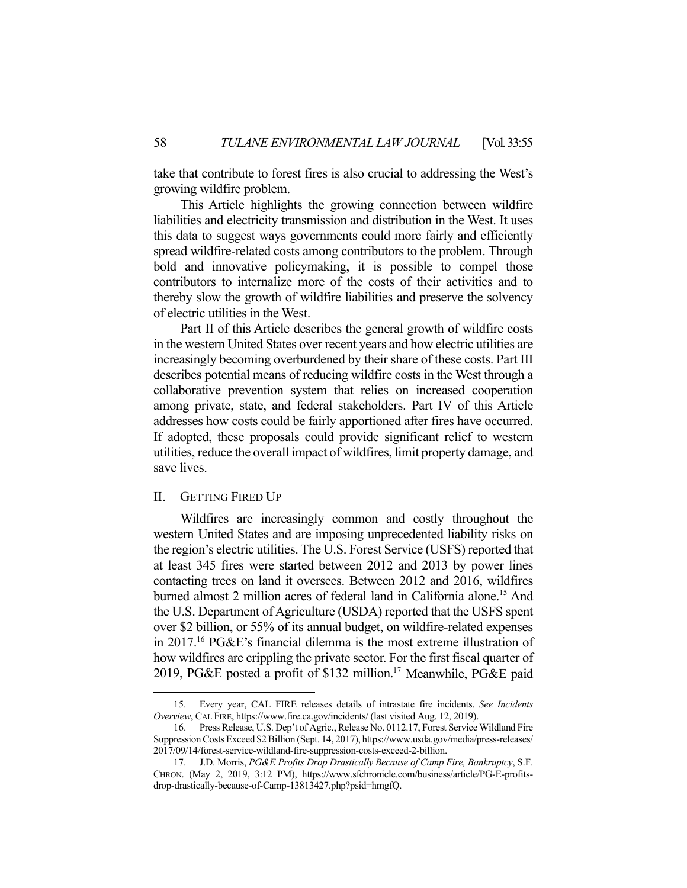take that contribute to forest fires is also crucial to addressing the West's growing wildfire problem.

 This Article highlights the growing connection between wildfire liabilities and electricity transmission and distribution in the West. It uses this data to suggest ways governments could more fairly and efficiently spread wildfire-related costs among contributors to the problem. Through bold and innovative policymaking, it is possible to compel those contributors to internalize more of the costs of their activities and to thereby slow the growth of wildfire liabilities and preserve the solvency of electric utilities in the West.

 Part II of this Article describes the general growth of wildfire costs in the western United States over recent years and how electric utilities are increasingly becoming overburdened by their share of these costs. Part III describes potential means of reducing wildfire costs in the West through a collaborative prevention system that relies on increased cooperation among private, state, and federal stakeholders. Part IV of this Article addresses how costs could be fairly apportioned after fires have occurred. If adopted, these proposals could provide significant relief to western utilities, reduce the overall impact of wildfires, limit property damage, and save lives.

#### II. GETTING FIRED UP

 Wildfires are increasingly common and costly throughout the western United States and are imposing unprecedented liability risks on the region's electric utilities. The U.S. Forest Service (USFS) reported that at least 345 fires were started between 2012 and 2013 by power lines contacting trees on land it oversees. Between 2012 and 2016, wildfires burned almost 2 million acres of federal land in California alone.<sup>15</sup> And the U.S. Department of Agriculture (USDA) reported that the USFS spent over \$2 billion, or 55% of its annual budget, on wildfire-related expenses in 2017.16 PG&E's financial dilemma is the most extreme illustration of how wildfires are crippling the private sector. For the first fiscal quarter of 2019, PG&E posted a profit of \$132 million.<sup>17</sup> Meanwhile, PG&E paid

 <sup>15.</sup> Every year, CAL FIRE releases details of intrastate fire incidents. *See Incidents Overview*, CAL FIRE, https://www.fire.ca.gov/incidents/ (last visited Aug. 12, 2019).

 <sup>16.</sup> Press Release, U.S. Dep't of Agric., Release No. 0112.17, Forest Service Wildland Fire Suppression Costs Exceed \$2 Billion (Sept. 14, 2017), https://www.usda.gov/media/press-releases/ 2017/09/14/forest-service-wildland-fire-suppression-costs-exceed-2-billion.

 <sup>17.</sup> J.D. Morris, *PG&E Profits Drop Drastically Because of Camp Fire, Bankruptcy*, S.F. CHRON. (May 2, 2019, 3:12 PM), https://www.sfchronicle.com/business/article/PG-E-profitsdrop-drastically-because-of-Camp-13813427.php?psid=hmgfQ.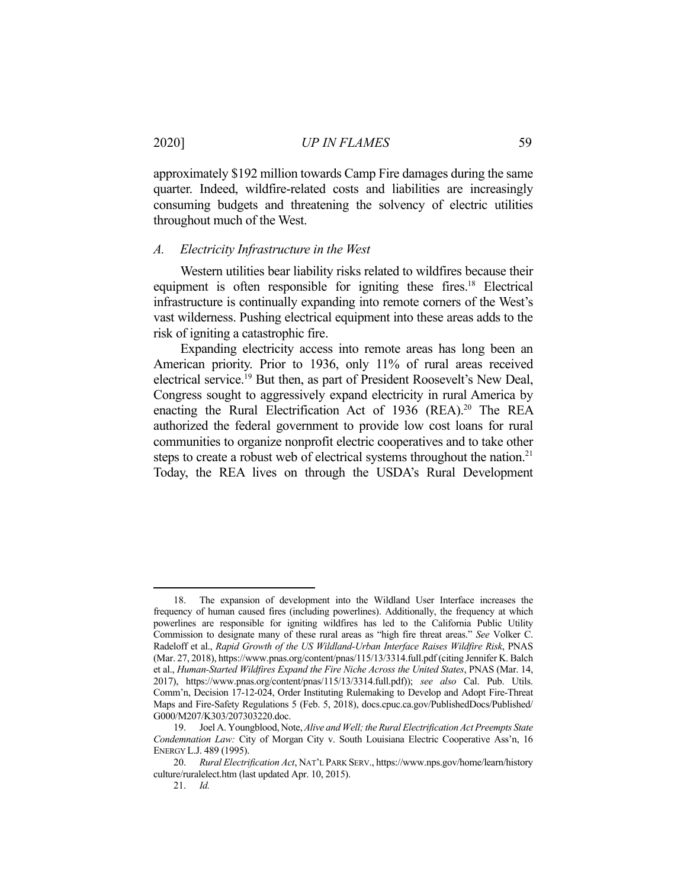approximately \$192 million towards Camp Fire damages during the same quarter. Indeed, wildfire-related costs and liabilities are increasingly consuming budgets and threatening the solvency of electric utilities throughout much of the West.

#### *A. Electricity Infrastructure in the West*

 Western utilities bear liability risks related to wildfires because their equipment is often responsible for igniting these fires.<sup>18</sup> Electrical infrastructure is continually expanding into remote corners of the West's vast wilderness. Pushing electrical equipment into these areas adds to the risk of igniting a catastrophic fire.

 Expanding electricity access into remote areas has long been an American priority. Prior to 1936, only 11% of rural areas received electrical service.19 But then, as part of President Roosevelt's New Deal, Congress sought to aggressively expand electricity in rural America by enacting the Rural Electrification Act of 1936 (REA).<sup>20</sup> The REA authorized the federal government to provide low cost loans for rural communities to organize nonprofit electric cooperatives and to take other steps to create a robust web of electrical systems throughout the nation.<sup>21</sup> Today, the REA lives on through the USDA's Rural Development

 <sup>18.</sup> The expansion of development into the Wildland User Interface increases the frequency of human caused fires (including powerlines). Additionally, the frequency at which powerlines are responsible for igniting wildfires has led to the California Public Utility Commission to designate many of these rural areas as "high fire threat areas." *See* Volker C. Radeloff et al., *Rapid Growth of the US Wildland-Urban Interface Raises Wildfire Risk*, PNAS (Mar. 27, 2018), https://www.pnas.org/content/pnas/115/13/3314.full.pdf (citing Jennifer K. Balch et al., *Human-Started Wildfires Expand the Fire Niche Across the United States*, PNAS (Mar. 14, 2017), https://www.pnas.org/content/pnas/115/13/3314.full.pdf)); *see also* Cal. Pub. Utils. Comm'n, Decision 17-12-024, Order Instituting Rulemaking to Develop and Adopt Fire-Threat Maps and Fire-Safety Regulations 5 (Feb. 5, 2018), docs.cpuc.ca.gov/PublishedDocs/Published/ G000/M207/K303/207303220.doc.

 <sup>19.</sup> Joel A. Youngblood, Note, *Alive and Well; the Rural Electrification Act Preempts State Condemnation Law:* City of Morgan City v. South Louisiana Electric Cooperative Ass'n, 16 ENERGY L.J. 489 (1995).

 <sup>20.</sup> *Rural Electrification Act*, NAT'L PARK SERV., https://www.nps.gov/home/learn/history culture/ruralelect.htm (last updated Apr. 10, 2015).

 <sup>21.</sup> *Id.*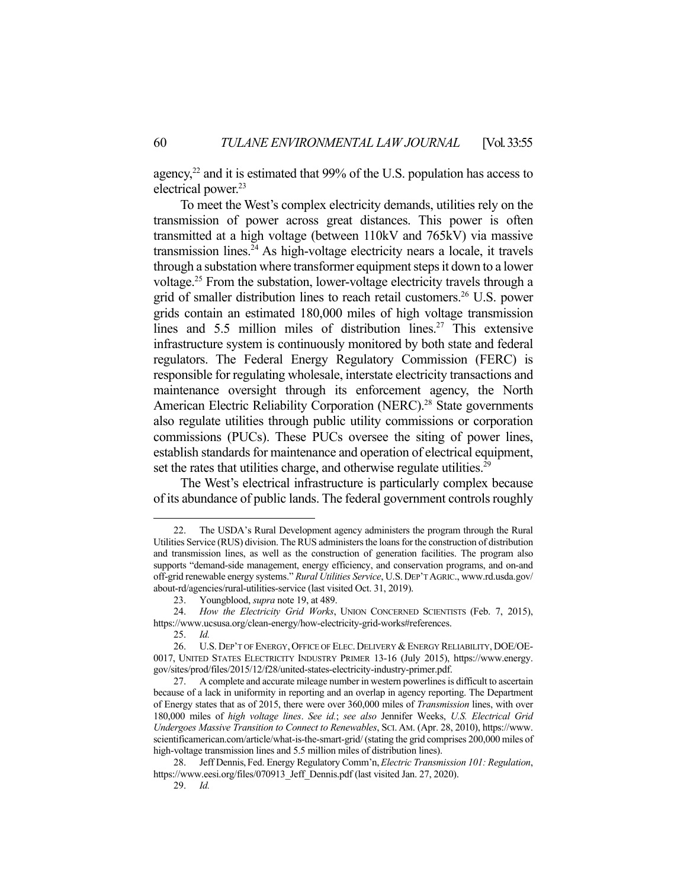agency, $^{22}$  and it is estimated that 99% of the U.S. population has access to electrical power.<sup>23</sup>

 To meet the West's complex electricity demands, utilities rely on the transmission of power across great distances. This power is often transmitted at a high voltage (between 110kV and 765kV) via massive transmission lines.<sup>24</sup> As high-voltage electricity nears a locale, it travels through a substation where transformer equipment steps it down to a lower voltage.25 From the substation, lower-voltage electricity travels through a grid of smaller distribution lines to reach retail customers.<sup>26</sup> U.S. power grids contain an estimated 180,000 miles of high voltage transmission lines and 5.5 million miles of distribution lines.<sup>27</sup> This extensive infrastructure system is continuously monitored by both state and federal regulators. The Federal Energy Regulatory Commission (FERC) is responsible for regulating wholesale, interstate electricity transactions and maintenance oversight through its enforcement agency, the North American Electric Reliability Corporation (NERC).<sup>28</sup> State governments also regulate utilities through public utility commissions or corporation commissions (PUCs). These PUCs oversee the siting of power lines, establish standards for maintenance and operation of electrical equipment, set the rates that utilities charge, and otherwise regulate utilities.<sup>29</sup>

 The West's electrical infrastructure is particularly complex because of its abundance of public lands. The federal government controls roughly

 <sup>22.</sup> The USDA's Rural Development agency administers the program through the Rural Utilities Service (RUS) division. The RUS administers the loans for the construction of distribution and transmission lines, as well as the construction of generation facilities. The program also supports "demand-side management, energy efficiency, and conservation programs, and on-and off-grid renewable energy systems." *Rural Utilities Service*, U.S.DEP'T AGRIC., www.rd.usda.gov/ about-rd/agencies/rural-utilities-service (last visited Oct. 31, 2019).

 <sup>23.</sup> Youngblood, *supra* note 19, at 489.

 <sup>24.</sup> *How the Electricity Grid Works*, UNION CONCERNED SCIENTISTS (Feb. 7, 2015), https://www.ucsusa.org/clean-energy/how-electricity-grid-works#references.

 <sup>25.</sup> *Id.*

 <sup>26.</sup> U.S. DEP'T OF ENERGY, OFFICE OF ELEC. DELIVERY &ENERGY RELIABILITY, DOE/OE-0017, UNITED STATES ELECTRICITY INDUSTRY PRIMER 13-16 (July 2015), https://www.energy. gov/sites/prod/files/2015/12/f28/united-states-electricity-industry-primer.pdf.

 <sup>27.</sup> A complete and accurate mileage number in western powerlines is difficult to ascertain because of a lack in uniformity in reporting and an overlap in agency reporting. The Department of Energy states that as of 2015, there were over 360,000 miles of *Transmission* lines, with over 180,000 miles of *high voltage lines*. *See id.*; *see also* Jennifer Weeks, *U.S. Electrical Grid Undergoes Massive Transition to Connect to Renewables*, SCI. AM. (Apr. 28, 2010), https://www. scientificamerican.com/article/what-is-the-smart-grid/ (stating the grid comprises 200,000 miles of high-voltage transmission lines and 5.5 million miles of distribution lines).

 <sup>28.</sup> Jeff Dennis, Fed. Energy Regulatory Comm'n,*Electric Transmission 101: Regulation*, https://www.eesi.org/files/070913\_Jeff\_Dennis.pdf (last visited Jan. 27, 2020).

 <sup>29.</sup> *Id.*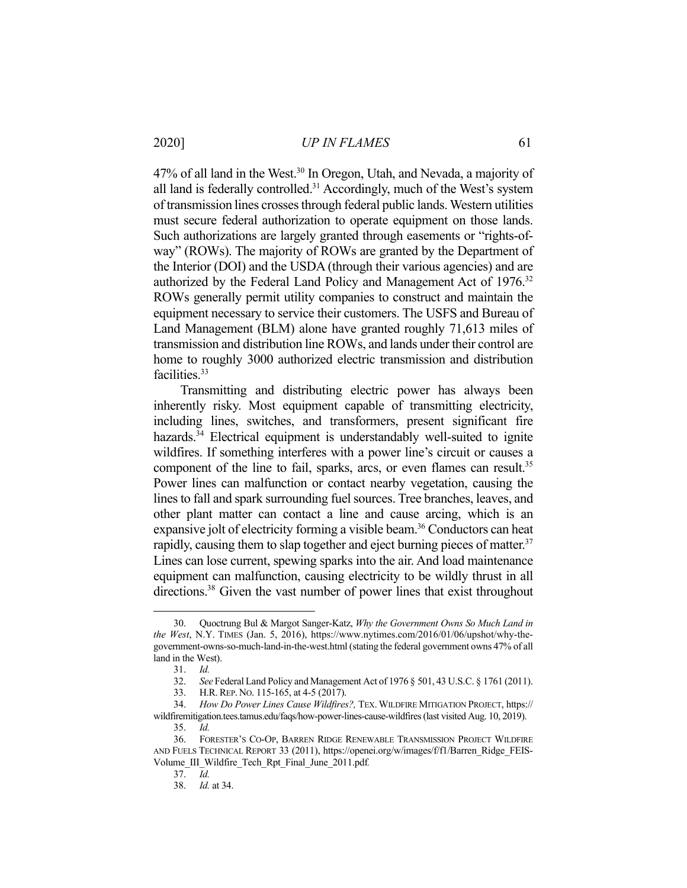#### 2020] *UP IN FLAMES* 61

47% of all land in the West.<sup>30</sup> In Oregon, Utah, and Nevada, a majority of all land is federally controlled.<sup>31</sup> Accordingly, much of the West's system of transmission lines crosses through federal public lands. Western utilities must secure federal authorization to operate equipment on those lands. Such authorizations are largely granted through easements or "rights-ofway" (ROWs). The majority of ROWs are granted by the Department of the Interior (DOI) and the USDA (through their various agencies) and are authorized by the Federal Land Policy and Management Act of 1976.<sup>32</sup> ROWs generally permit utility companies to construct and maintain the equipment necessary to service their customers. The USFS and Bureau of Land Management (BLM) alone have granted roughly 71,613 miles of transmission and distribution line ROWs, and lands under their control are home to roughly 3000 authorized electric transmission and distribution facilities.<sup>33</sup>

 Transmitting and distributing electric power has always been inherently risky. Most equipment capable of transmitting electricity, including lines, switches, and transformers, present significant fire hazards.<sup>34</sup> Electrical equipment is understandably well-suited to ignite wildfires. If something interferes with a power line's circuit or causes a component of the line to fail, sparks, arcs, or even flames can result.<sup>35</sup> Power lines can malfunction or contact nearby vegetation, causing the lines to fall and spark surrounding fuel sources. Tree branches, leaves, and other plant matter can contact a line and cause arcing, which is an expansive jolt of electricity forming a visible beam.<sup>36</sup> Conductors can heat rapidly, causing them to slap together and eject burning pieces of matter.<sup>37</sup> Lines can lose current, spewing sparks into the air. And load maintenance equipment can malfunction, causing electricity to be wildly thrust in all directions.<sup>38</sup> Given the vast number of power lines that exist throughout

 <sup>30.</sup> Quoctrung Bul & Margot Sanger-Katz, *Why the Government Owns So Much Land in the West*, N.Y. TIMES (Jan. 5, 2016), https://www.nytimes.com/2016/01/06/upshot/why-thegovernment-owns-so-much-land-in-the-west.html (stating the federal government owns 47% of all land in the West).

 <sup>31.</sup> *Id.*

 <sup>32.</sup> *See* Federal Land Policy and Management Act of 1976 § 501, 43 U.S.C. § 1761 (2011).

 <sup>33.</sup> H.R. REP. NO. 115-165, at 4-5 (2017).

 <sup>34.</sup> *How Do Power Lines Cause Wildfires?,* TEX. WILDFIRE MITIGATION PROJECT, https:// wildfiremitigation.tees.tamus.edu/faqs/how-power-lines-cause-wildfires (last visited Aug. 10, 2019).

 <sup>35.</sup> *Id.*

 <sup>36.</sup> FORESTER'S CO-OP, BARREN RIDGE RENEWABLE TRANSMISSION PROJECT WILDFIRE AND FUELS TECHNICAL REPORT 33 (2011), https://openei.org/w/images/f/f1/Barren\_Ridge\_FEIS-Volume\_III\_Wildfire\_Tech\_Rpt\_Final\_June\_2011.pdf*.* 

 <sup>37.</sup> *Id.* 

 <sup>38.</sup> *Id.* at 34.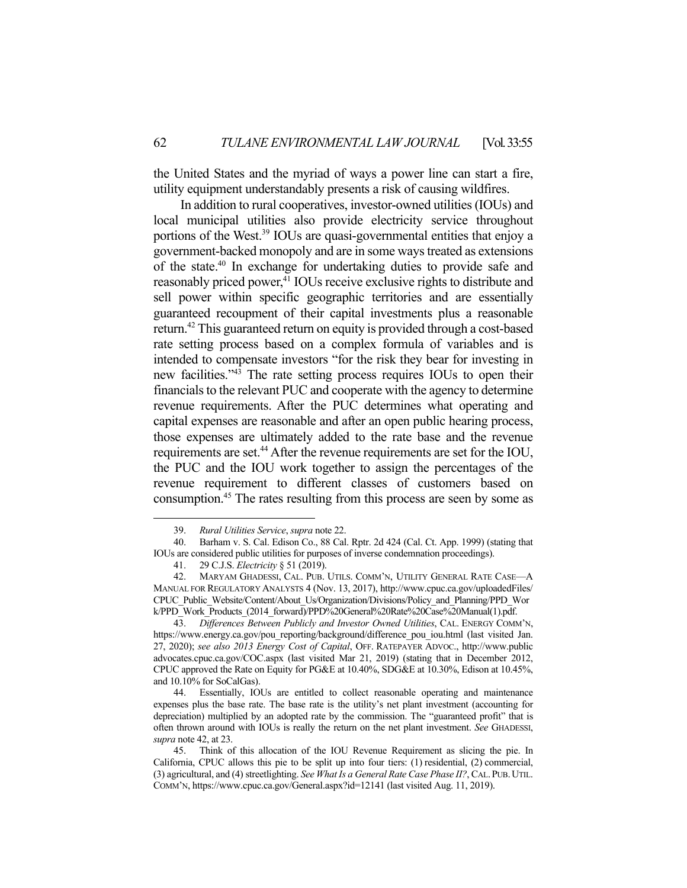the United States and the myriad of ways a power line can start a fire, utility equipment understandably presents a risk of causing wildfires.

 In addition to rural cooperatives, investor-owned utilities (IOUs) and local municipal utilities also provide electricity service throughout portions of the West.39 IOUs are quasi-governmental entities that enjoy a government-backed monopoly and are in some ways treated as extensions of the state.40 In exchange for undertaking duties to provide safe and reasonably priced power,<sup>41</sup> IOUs receive exclusive rights to distribute and sell power within specific geographic territories and are essentially guaranteed recoupment of their capital investments plus a reasonable return.42 This guaranteed return on equity is provided through a cost-based rate setting process based on a complex formula of variables and is intended to compensate investors "for the risk they bear for investing in new facilities."43 The rate setting process requires IOUs to open their financials to the relevant PUC and cooperate with the agency to determine revenue requirements. After the PUC determines what operating and capital expenses are reasonable and after an open public hearing process, those expenses are ultimately added to the rate base and the revenue requirements are set.<sup>44</sup> After the revenue requirements are set for the IOU, the PUC and the IOU work together to assign the percentages of the revenue requirement to different classes of customers based on consumption.45 The rates resulting from this process are seen by some as

 <sup>39.</sup> *Rural Utilities Service*, *supra* note 22.

 <sup>40.</sup> Barham v. S. Cal. Edison Co., 88 Cal. Rptr. 2d 424 (Cal. Ct. App. 1999) (stating that IOUs are considered public utilities for purposes of inverse condemnation proceedings).

 <sup>41. 29</sup> C.J.S. *Electricity* § 51 (2019).

 <sup>42.</sup> MARYAM GHADESSI, CAL. PUB. UTILS. COMM'N, UTILITY GENERAL RATE CASE—A MANUAL FOR REGULATORY ANALYSTS 4 (Nov. 13, 2017), http://www.cpuc.ca.gov/uploadedFiles/ CPUC\_Public\_Website/Content/About\_Us/Organization/Divisions/Policy\_and\_Planning/PPD\_Wor k/PPD\_Work\_Products\_(2014\_forward)/PPD%20General%20Rate%20Case%20Manual(1).pdf.

 <sup>43.</sup> *Differences Between Publicly and Investor Owned Utilities*, CAL. ENERGY COMM'N, https://www.energy.ca.gov/pou\_reporting/background/difference\_pou\_iou.html (last visited Jan. 27, 2020); *see also 2013 Energy Cost of Capital*, OFF. RATEPAYER ADVOC., http://www.public advocates.cpuc.ca.gov/COC.aspx (last visited Mar 21, 2019) (stating that in December 2012, CPUC approved the Rate on Equity for PG&E at 10.40%, SDG&E at 10.30%, Edison at 10.45%, and 10.10% for SoCalGas).

 <sup>44.</sup> Essentially, IOUs are entitled to collect reasonable operating and maintenance expenses plus the base rate. The base rate is the utility's net plant investment (accounting for depreciation) multiplied by an adopted rate by the commission. The "guaranteed profit" that is often thrown around with IOUs is really the return on the net plant investment. *See* GHADESSI, *supra* note 42, at 23.

 <sup>45.</sup> Think of this allocation of the IOU Revenue Requirement as slicing the pie. In California, CPUC allows this pie to be split up into four tiers: (1) residential, (2) commercial, (3) agricultural, and (4) streetlighting. *See What Is a General Rate Case Phase II?*, CAL.PUB.UTIL. COMM'N, https://www.cpuc.ca.gov/General.aspx?id=12141 (last visited Aug. 11, 2019).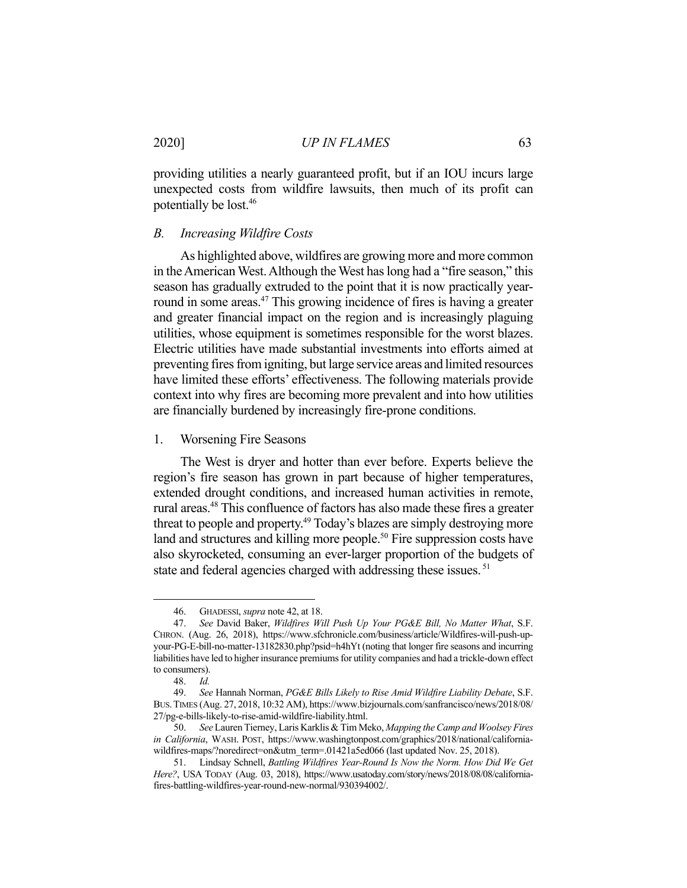providing utilities a nearly guaranteed profit, but if an IOU incurs large unexpected costs from wildfire lawsuits, then much of its profit can potentially be lost.46

#### *B. Increasing Wildfire Costs*

 As highlighted above, wildfires are growing more and more common in the American West. Although the West has long had a "fire season," this season has gradually extruded to the point that it is now practically yearround in some areas.<sup>47</sup> This growing incidence of fires is having a greater and greater financial impact on the region and is increasingly plaguing utilities, whose equipment is sometimes responsible for the worst blazes. Electric utilities have made substantial investments into efforts aimed at preventing fires from igniting, but large service areas and limited resources have limited these efforts' effectiveness. The following materials provide context into why fires are becoming more prevalent and into how utilities are financially burdened by increasingly fire-prone conditions.

### 1. Worsening Fire Seasons

 The West is dryer and hotter than ever before. Experts believe the region's fire season has grown in part because of higher temperatures, extended drought conditions, and increased human activities in remote, rural areas.<sup>48</sup> This confluence of factors has also made these fires a greater threat to people and property.<sup>49</sup> Today's blazes are simply destroying more land and structures and killing more people.<sup>50</sup> Fire suppression costs have also skyrocketed, consuming an ever-larger proportion of the budgets of state and federal agencies charged with addressing these issues.<sup>51</sup>

 <sup>46.</sup> GHADESSI, *supra* note 42, at 18.

 <sup>47.</sup> *See* David Baker, *Wildfires Will Push Up Your PG&E Bill, No Matter What*, S.F. CHRON. (Aug. 26, 2018), https://www.sfchronicle.com/business/article/Wildfires-will-push-upyour-PG-E-bill-no-matter-13182830.php?psid=h4hYt (noting that longer fire seasons and incurring liabilities have led to higher insurance premiums for utility companies and had a trickle-down effect to consumers).

 <sup>48.</sup> *Id.*

 <sup>49.</sup> *See* Hannah Norman, *PG&E Bills Likely to Rise Amid Wildfire Liability Debate*, S.F. BUS.TIMES (Aug. 27, 2018, 10:32 AM), https://www.bizjournals.com/sanfrancisco/news/2018/08/ 27/pg-e-bills-likely-to-rise-amid-wildfire-liability.html.

 <sup>50.</sup> *See* Lauren Tierney, Laris Karklis & Tim Meko, *Mapping the Camp and Woolsey Fires in California*, WASH. POST, https://www.washingtonpost.com/graphics/2018/national/californiawildfires-maps/?noredirect=on&utm\_term=.01421a5ed066 (last updated Nov. 25, 2018).

 <sup>51.</sup> Lindsay Schnell, *Battling Wildfires Year-Round Is Now the Norm. How Did We Get Here?*, USA TODAY (Aug. 03, 2018), https://www.usatoday.com/story/news/2018/08/08/californiafires-battling-wildfires-year-round-new-normal/930394002/.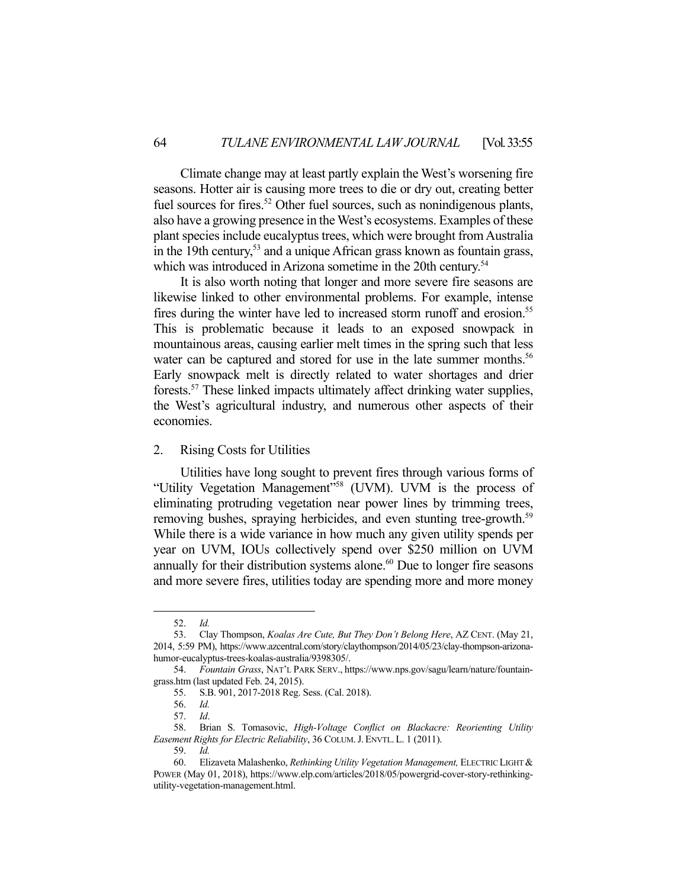Climate change may at least partly explain the West's worsening fire seasons. Hotter air is causing more trees to die or dry out, creating better fuel sources for fires.<sup>52</sup> Other fuel sources, such as nonindigenous plants, also have a growing presence in the West's ecosystems. Examples of these plant species include eucalyptus trees, which were brought from Australia in the 19th century,<sup>53</sup> and a unique African grass known as fountain grass, which was introduced in Arizona sometime in the 20th century.<sup>54</sup>

 It is also worth noting that longer and more severe fire seasons are likewise linked to other environmental problems. For example, intense fires during the winter have led to increased storm runoff and erosion.<sup>55</sup> This is problematic because it leads to an exposed snowpack in mountainous areas, causing earlier melt times in the spring such that less water can be captured and stored for use in the late summer months.<sup>56</sup> Early snowpack melt is directly related to water shortages and drier forests.57 These linked impacts ultimately affect drinking water supplies, the West's agricultural industry, and numerous other aspects of their economies.

# 2. Rising Costs for Utilities

 Utilities have long sought to prevent fires through various forms of "Utility Vegetation Management"58 (UVM). UVM is the process of eliminating protruding vegetation near power lines by trimming trees, removing bushes, spraying herbicides, and even stunting tree-growth.<sup>59</sup> While there is a wide variance in how much any given utility spends per year on UVM, IOUs collectively spend over \$250 million on UVM annually for their distribution systems alone. $60$  Due to longer fire seasons and more severe fires, utilities today are spending more and more money

 <sup>52.</sup> *Id.*

 <sup>53.</sup> Clay Thompson, *Koalas Are Cute, But They Don't Belong Here*, AZ CENT. (May 21, 2014, 5:59 PM), https://www.azcentral.com/story/claythompson/2014/05/23/clay-thompson-arizonahumor-eucalyptus-trees-koalas-australia/9398305/.

 <sup>54.</sup> *Fountain Grass*, NAT'L PARK SERV., https://www.nps.gov/sagu/learn/nature/fountaingrass.htm (last updated Feb. 24, 2015).

 <sup>55.</sup> S.B. 901, 2017-2018 Reg. Sess. (Cal. 2018).

 <sup>56.</sup> *Id.*

 <sup>57.</sup> *Id*.

 <sup>58.</sup> Brian S. Tomasovic, *High-Voltage Conflict on Blackacre: Reorienting Utility Easement Rights for Electric Reliability*, 36 COLUM.J. ENVTL. L. 1 (2011).

 <sup>59.</sup> *Id.*

 <sup>60.</sup> Elizaveta Malashenko, *Rethinking Utility Vegetation Management,* ELECTRIC LIGHT & POWER (May 01, 2018), https://www.elp.com/articles/2018/05/powergrid-cover-story-rethinkingutility-vegetation-management.html.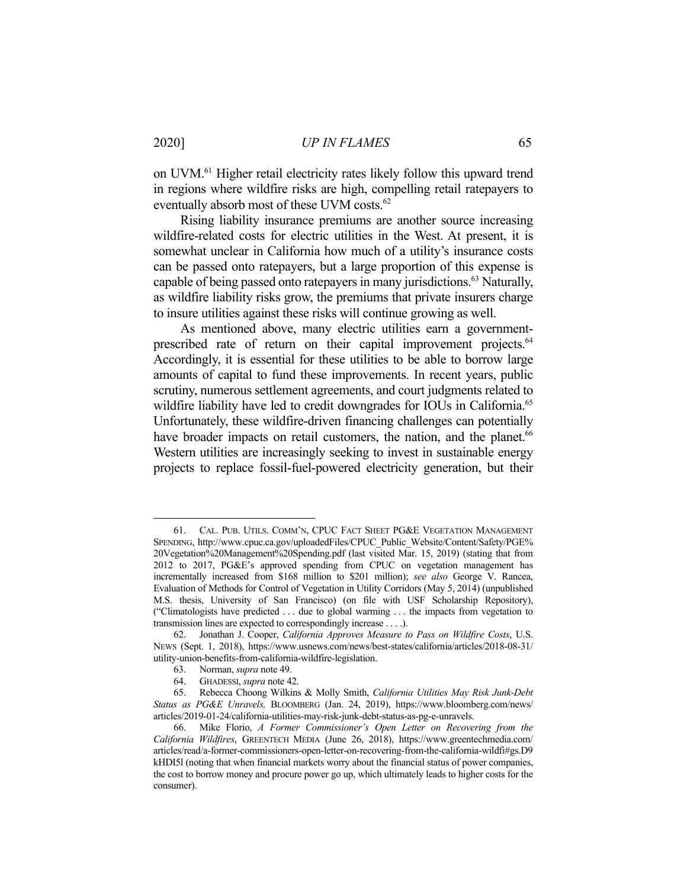on UVM.61 Higher retail electricity rates likely follow this upward trend in regions where wildfire risks are high, compelling retail ratepayers to eventually absorb most of these UVM costs.<sup>62</sup>

 Rising liability insurance premiums are another source increasing wildfire-related costs for electric utilities in the West. At present, it is somewhat unclear in California how much of a utility's insurance costs can be passed onto ratepayers, but a large proportion of this expense is capable of being passed onto ratepayers in many jurisdictions.<sup>63</sup> Naturally, as wildfire liability risks grow, the premiums that private insurers charge to insure utilities against these risks will continue growing as well.

 As mentioned above, many electric utilities earn a governmentprescribed rate of return on their capital improvement projects.<sup>64</sup> Accordingly, it is essential for these utilities to be able to borrow large amounts of capital to fund these improvements. In recent years, public scrutiny, numerous settlement agreements, and court judgments related to wildfire liability have led to credit downgrades for IOUs in California.<sup>65</sup> Unfortunately, these wildfire-driven financing challenges can potentially have broader impacts on retail customers, the nation, and the planet.<sup>66</sup> Western utilities are increasingly seeking to invest in sustainable energy projects to replace fossil-fuel-powered electricity generation, but their

 <sup>61.</sup> CAL. PUB. UTILS. COMM'N, CPUC FACT SHEET PG&E VEGETATION MANAGEMENT SPENDING, http://www.cpuc.ca.gov/uploadedFiles/CPUC\_Public\_Website/Content/Safety/PGE% 20Vegetation%20Management%20Spending.pdf (last visited Mar. 15, 2019) (stating that from 2012 to 2017, PG&E's approved spending from CPUC on vegetation management has incrementally increased from \$168 million to \$201 million); *see also* George V. Rancea, Evaluation of Methods for Control of Vegetation in Utility Corridors (May 5, 2014) (unpublished M.S. thesis, University of San Francisco) (on file with USF Scholarship Repository), ("Climatologists have predicted . . . due to global warming . . . the impacts from vegetation to transmission lines are expected to correspondingly increase . . . .).

 <sup>62.</sup> Jonathan J. Cooper, *California Approves Measure to Pass on Wildfire Costs*, U.S. NEWS (Sept. 1, 2018), https://www.usnews.com/news/best-states/california/articles/2018-08-31/ utility-union-benefits-from-california-wildfire-legislation.

 <sup>63.</sup> Norman, *supra* note 49.

 <sup>64.</sup> GHADESSI, *supra* note 42.

 <sup>65.</sup> Rebecca Choong Wilkins & Molly Smith, *California Utilities May Risk Junk-Debt Status as PG&E Unravels,* BLOOMBERG (Jan. 24, 2019), https://www.bloomberg.com/news/ articles/2019-01-24/california-utilities-may-risk-junk-debt-status-as-pg-e-unravels.

 <sup>66.</sup> Mike Florio, *A Former Commissioner's Open Letter on Recovering from the California Wildfires*, GREENTECH MEDIA (June 26, 2018), https://www.greentechmedia.com/ articles/read/a-former-commissioners-open-letter-on-recovering-from-the-california-wildfi#gs.D9 kHDI5l (noting that when financial markets worry about the financial status of power companies, the cost to borrow money and procure power go up, which ultimately leads to higher costs for the consumer).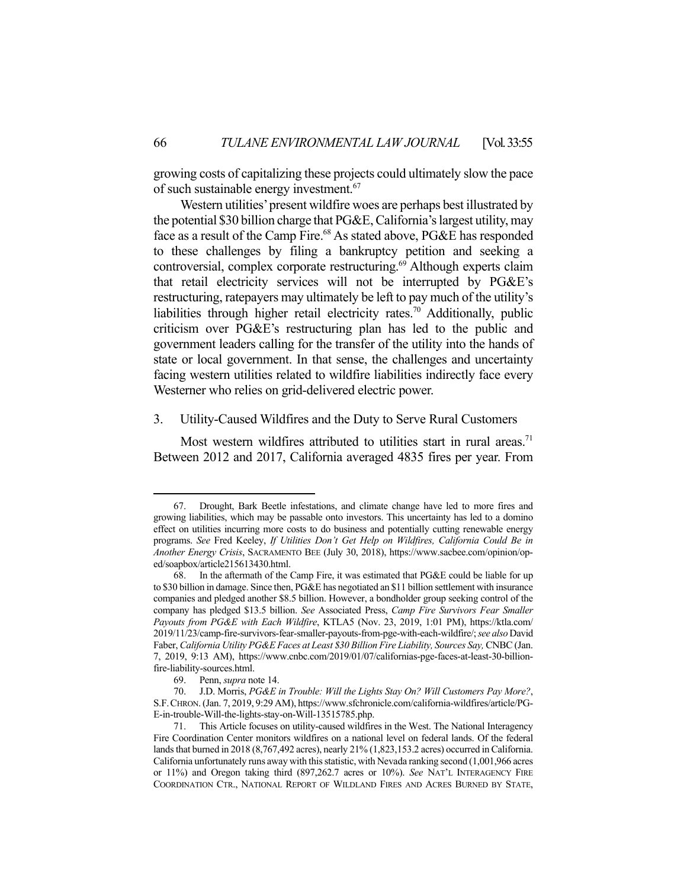growing costs of capitalizing these projects could ultimately slow the pace of such sustainable energy investment.67

 Western utilities' present wildfire woes are perhaps best illustrated by the potential \$30 billion charge that PG&E, California's largest utility, may face as a result of the Camp Fire.<sup>68</sup> As stated above, PG&E has responded to these challenges by filing a bankruptcy petition and seeking a controversial, complex corporate restructuring.<sup>69</sup> Although experts claim that retail electricity services will not be interrupted by PG&E's restructuring, ratepayers may ultimately be left to pay much of the utility's liabilities through higher retail electricity rates.<sup>70</sup> Additionally, public criticism over PG&E's restructuring plan has led to the public and government leaders calling for the transfer of the utility into the hands of state or local government. In that sense, the challenges and uncertainty facing western utilities related to wildfire liabilities indirectly face every Westerner who relies on grid-delivered electric power.

#### 3. Utility-Caused Wildfires and the Duty to Serve Rural Customers

Most western wildfires attributed to utilities start in rural areas.<sup>71</sup> Between 2012 and 2017, California averaged 4835 fires per year. From

 <sup>67.</sup> Drought, Bark Beetle infestations, and climate change have led to more fires and growing liabilities, which may be passable onto investors. This uncertainty has led to a domino effect on utilities incurring more costs to do business and potentially cutting renewable energy programs. *See* Fred Keeley, *If Utilities Don't Get Help on Wildfires, California Could Be in Another Energy Crisis*, SACRAMENTO BEE (July 30, 2018), https://www.sacbee.com/opinion/oped/soapbox/article215613430.html.

 <sup>68.</sup> In the aftermath of the Camp Fire, it was estimated that PG&E could be liable for up to \$30 billion in damage. Since then, PG&E has negotiated an \$11 billion settlement with insurance companies and pledged another \$8.5 billion. However, a bondholder group seeking control of the company has pledged \$13.5 billion. *See* Associated Press, *Camp Fire Survivors Fear Smaller Payouts from PG&E with Each Wildfire*, KTLA5 (Nov. 23, 2019, 1:01 PM), https://ktla.com/ 2019/11/23/camp-fire-survivors-fear-smaller-payouts-from-pge-with-each-wildfire/; *see also* David Faber, *California Utility PG&E Faces at Least \$30 Billion Fire Liability, Sources Say, CNBC* (Jan. 7, 2019, 9:13 AM), https://www.cnbc.com/2019/01/07/californias-pge-faces-at-least-30-billionfire-liability-sources.html.

 <sup>69.</sup> Penn, *supra* note 14.

 <sup>70.</sup> J.D. Morris, *PG&E in Trouble: Will the Lights Stay On? Will Customers Pay More?*, S.F.CHRON. (Jan. 7, 2019, 9:29 AM), https://www.sfchronicle.com/california-wildfires/article/PG-E-in-trouble-Will-the-lights-stay-on-Will-13515785.php.

 <sup>71.</sup> This Article focuses on utility-caused wildfires in the West. The National Interagency Fire Coordination Center monitors wildfires on a national level on federal lands. Of the federal lands that burned in 2018 (8,767,492 acres), nearly 21% (1,823,153.2 acres) occurred in California. California unfortunately runs away with this statistic, with Nevada ranking second (1,001,966 acres or 11%) and Oregon taking third (897,262.7 acres or 10%). *See* NAT'L INTERAGENCY FIRE COORDINATION CTR., NATIONAL REPORT OF WILDLAND FIRES AND ACRES BURNED BY STATE,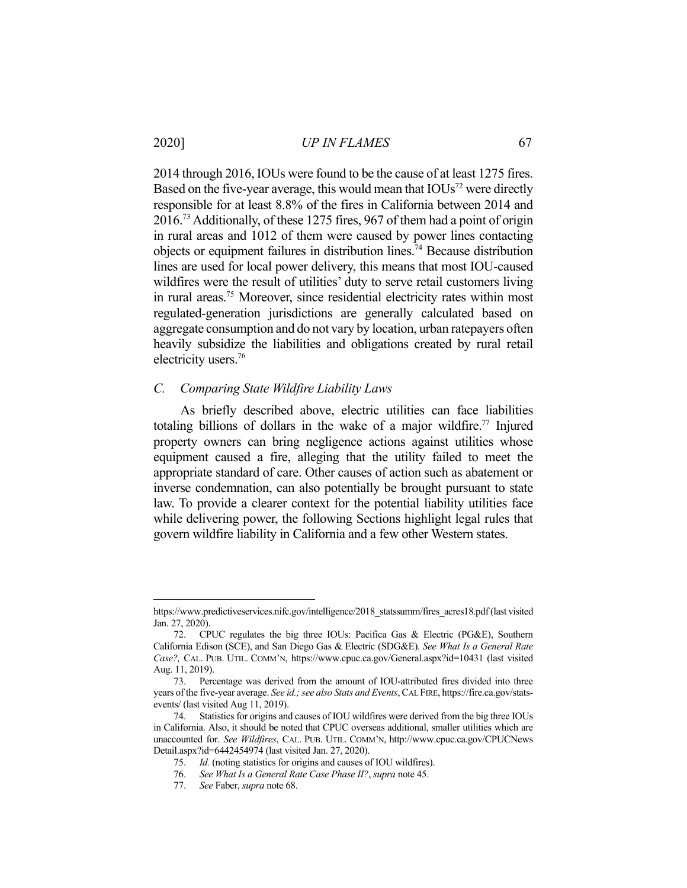2020] *UP IN FLAMES* 67

2014 through 2016, IOUs were found to be the cause of at least 1275 fires. Based on the five-year average, this would mean that  $IOUs<sup>72</sup>$  were directly responsible for at least 8.8% of the fires in California between 2014 and 2016.73 Additionally, of these 1275 fires, 967 of them had a point of origin in rural areas and 1012 of them were caused by power lines contacting objects or equipment failures in distribution lines.74 Because distribution lines are used for local power delivery, this means that most IOU-caused wildfires were the result of utilities' duty to serve retail customers living in rural areas.75 Moreover, since residential electricity rates within most regulated-generation jurisdictions are generally calculated based on aggregate consumption and do not vary by location, urban ratepayers often heavily subsidize the liabilities and obligations created by rural retail electricity users.76

#### *C. Comparing State Wildfire Liability Laws*

 As briefly described above, electric utilities can face liabilities totaling billions of dollars in the wake of a major wildfire.<sup>77</sup> Injured property owners can bring negligence actions against utilities whose equipment caused a fire, alleging that the utility failed to meet the appropriate standard of care. Other causes of action such as abatement or inverse condemnation, can also potentially be brought pursuant to state law. To provide a clearer context for the potential liability utilities face while delivering power, the following Sections highlight legal rules that govern wildfire liability in California and a few other Western states.

https://www.predictiveservices.nifc.gov/intelligence/2018\_statssumm/fires\_acres18.pdf (last visited Jan. 27, 2020).

 <sup>72.</sup> CPUC regulates the big three IOUs: Pacifica Gas & Electric (PG&E), Southern California Edison (SCE), and San Diego Gas & Electric (SDG&E). *See What Is a General Rate Case?,* CAL. PUB. UTIL. COMM'N, https://www.cpuc.ca.gov/General.aspx?id=10431 (last visited Aug. 11, 2019).

 <sup>73.</sup> Percentage was derived from the amount of IOU-attributed fires divided into three years of the five-year average. *See id.; see also Stats and Events*, CAL FIRE, https://fire.ca.gov/statsevents/ (last visited Aug 11, 2019).

 <sup>74.</sup> Statistics for origins and causes of IOU wildfires were derived from the big three IOUs in California. Also, it should be noted that CPUC overseas additional, smaller utilities which are unaccounted for. *See Wildfires*, CAL. PUB. UTIL. COMM'N, http://www.cpuc.ca.gov/CPUCNews Detail.aspx?id=6442454974 (last visited Jan. 27, 2020).

 <sup>75.</sup> *Id.* (noting statistics for origins and causes of IOU wildfires).

 <sup>76.</sup> *See What Is a General Rate Case Phase II?*, *supra* note 45.

 <sup>77.</sup> *See* Faber, *supra* note 68.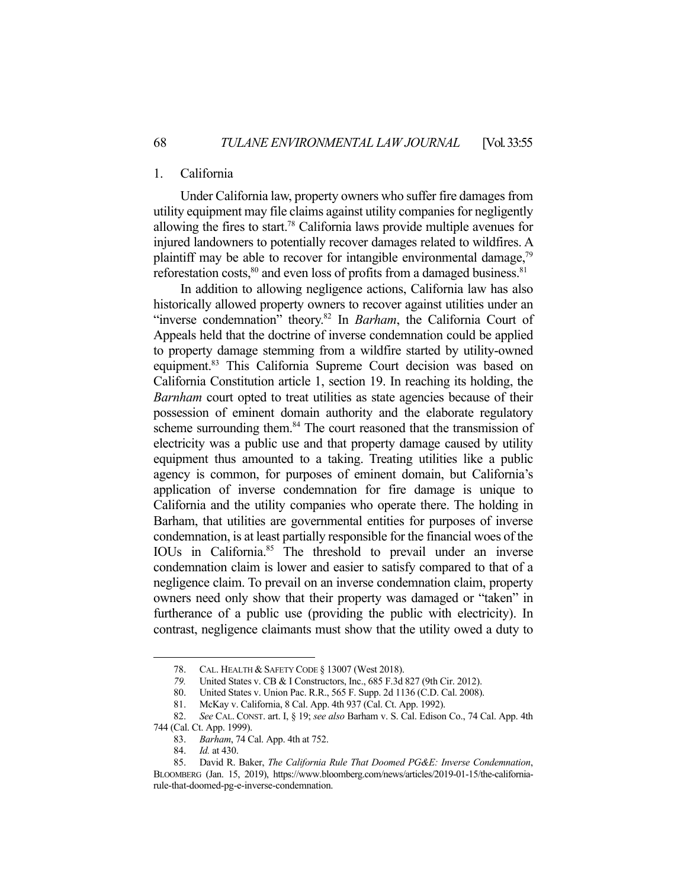# 1. California

 Under California law, property owners who suffer fire damages from utility equipment may file claims against utility companies for negligently allowing the fires to start.<sup>78</sup> California laws provide multiple avenues for injured landowners to potentially recover damages related to wildfires. A plaintiff may be able to recover for intangible environmental damage, $79$ reforestation costs, $80$  and even loss of profits from a damaged business.  $81$ 

 In addition to allowing negligence actions, California law has also historically allowed property owners to recover against utilities under an "inverse condemnation" theory.82 In *Barham*, the California Court of Appeals held that the doctrine of inverse condemnation could be applied to property damage stemming from a wildfire started by utility-owned equipment.<sup>83</sup> This California Supreme Court decision was based on California Constitution article 1, section 19. In reaching its holding, the *Barnham* court opted to treat utilities as state agencies because of their possession of eminent domain authority and the elaborate regulatory scheme surrounding them.<sup>84</sup> The court reasoned that the transmission of electricity was a public use and that property damage caused by utility equipment thus amounted to a taking. Treating utilities like a public agency is common, for purposes of eminent domain, but California's application of inverse condemnation for fire damage is unique to California and the utility companies who operate there. The holding in Barham, that utilities are governmental entities for purposes of inverse condemnation, is at least partially responsible for the financial woes of the IOUs in California.<sup>85</sup> The threshold to prevail under an inverse condemnation claim is lower and easier to satisfy compared to that of a negligence claim. To prevail on an inverse condemnation claim, property owners need only show that their property was damaged or "taken" in furtherance of a public use (providing the public with electricity). In contrast, negligence claimants must show that the utility owed a duty to

 <sup>78.</sup> CAL. HEALTH & SAFETY CODE § 13007 (West 2018).

 *<sup>79.</sup>* United States v. CB & I Constructors, Inc., 685 F.3d 827 (9th Cir. 2012).

 <sup>80.</sup> United States v. Union Pac. R.R., 565 F. Supp. 2d 1136 (C.D. Cal. 2008).

 <sup>81.</sup> McKay v. California, 8 Cal. App. 4th 937 (Cal. Ct. App. 1992).

 <sup>82.</sup> *See* CAL. CONST. art. I, § 19; *see also* Barham v. S. Cal. Edison Co., 74 Cal. App. 4th 744 (Cal. Ct. App. 1999).

 <sup>83.</sup> *Barham*, 74 Cal. App. 4th at 752.

 <sup>84.</sup> *Id.* at 430.

 <sup>85.</sup> David R. Baker, *The California Rule That Doomed PG&E: Inverse Condemnation*, BLOOMBERG (Jan. 15, 2019), https://www.bloomberg.com/news/articles/2019-01-15/the-californiarule-that-doomed-pg-e-inverse-condemnation.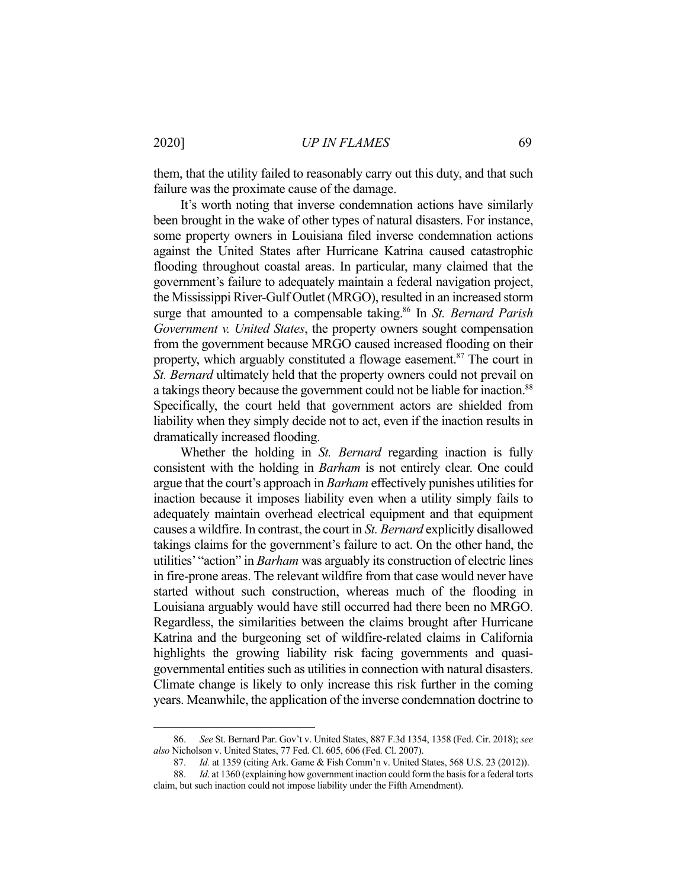2020] *UP IN FLAMES* 69

them, that the utility failed to reasonably carry out this duty, and that such failure was the proximate cause of the damage.

 It's worth noting that inverse condemnation actions have similarly been brought in the wake of other types of natural disasters. For instance, some property owners in Louisiana filed inverse condemnation actions against the United States after Hurricane Katrina caused catastrophic flooding throughout coastal areas. In particular, many claimed that the government's failure to adequately maintain a federal navigation project, the Mississippi River-Gulf Outlet (MRGO), resulted in an increased storm surge that amounted to a compensable taking.<sup>86</sup> In *St. Bernard Parish Government v. United States*, the property owners sought compensation from the government because MRGO caused increased flooding on their property, which arguably constituted a flowage easement.<sup>87</sup> The court in *St. Bernard* ultimately held that the property owners could not prevail on a takings theory because the government could not be liable for inaction.<sup>88</sup> Specifically, the court held that government actors are shielded from liability when they simply decide not to act, even if the inaction results in dramatically increased flooding.

 Whether the holding in *St. Bernard* regarding inaction is fully consistent with the holding in *Barham* is not entirely clear. One could argue that the court's approach in *Barham* effectively punishes utilities for inaction because it imposes liability even when a utility simply fails to adequately maintain overhead electrical equipment and that equipment causes a wildfire. In contrast, the court in *St. Bernard* explicitly disallowed takings claims for the government's failure to act. On the other hand, the utilities' "action" in *Barham* was arguably its construction of electric lines in fire-prone areas. The relevant wildfire from that case would never have started without such construction, whereas much of the flooding in Louisiana arguably would have still occurred had there been no MRGO. Regardless, the similarities between the claims brought after Hurricane Katrina and the burgeoning set of wildfire-related claims in California highlights the growing liability risk facing governments and quasigovernmental entities such as utilities in connection with natural disasters. Climate change is likely to only increase this risk further in the coming years. Meanwhile, the application of the inverse condemnation doctrine to

 <sup>86.</sup> *See* St. Bernard Par. Gov't v. United States, 887 F.3d 1354, 1358 (Fed. Cir. 2018); *see also* Nicholson v. United States, 77 Fed. Cl. 605, 606 (Fed. Cl. 2007).

 <sup>87.</sup> *Id.* at 1359 (citing Ark. Game & Fish Comm'n v. United States, 568 U.S. 23 (2012)).

 <sup>88.</sup> *Id*. at 1360 (explaining how government inaction could form the basis for a federal torts claim, but such inaction could not impose liability under the Fifth Amendment).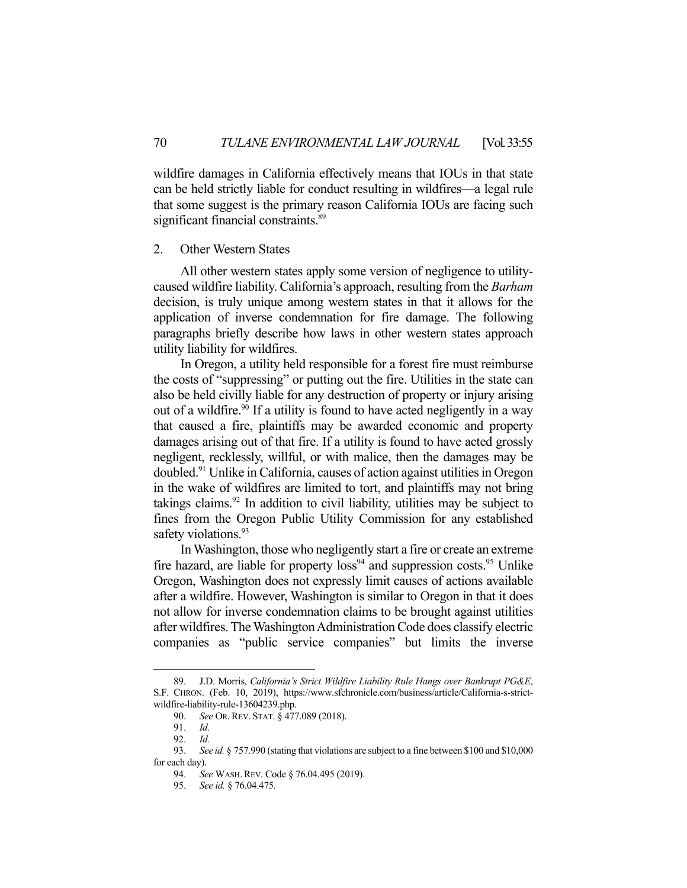wildfire damages in California effectively means that IOUs in that state can be held strictly liable for conduct resulting in wildfires—a legal rule that some suggest is the primary reason California IOUs are facing such significant financial constraints.<sup>89</sup>

#### 2. Other Western States

 All other western states apply some version of negligence to utilitycaused wildfire liability. California's approach, resulting from the *Barham* decision, is truly unique among western states in that it allows for the application of inverse condemnation for fire damage. The following paragraphs briefly describe how laws in other western states approach utility liability for wildfires.

 In Oregon, a utility held responsible for a forest fire must reimburse the costs of "suppressing" or putting out the fire. Utilities in the state can also be held civilly liable for any destruction of property or injury arising out of a wildfire.<sup>90</sup> If a utility is found to have acted negligently in a way that caused a fire, plaintiffs may be awarded economic and property damages arising out of that fire. If a utility is found to have acted grossly negligent, recklessly, willful, or with malice, then the damages may be doubled.91 Unlike in California, causes of action against utilities in Oregon in the wake of wildfires are limited to tort, and plaintiffs may not bring takings claims.<sup>92</sup> In addition to civil liability, utilities may be subject to fines from the Oregon Public Utility Commission for any established safety violations.<sup>93</sup>

 In Washington, those who negligently start a fire or create an extreme fire hazard, are liable for property  $\log^{94}$  and suppression costs.<sup>95</sup> Unlike Oregon, Washington does not expressly limit causes of actions available after a wildfire. However, Washington is similar to Oregon in that it does not allow for inverse condemnation claims to be brought against utilities after wildfires. The Washington Administration Code does classify electric companies as "public service companies" but limits the inverse

 <sup>89.</sup> J.D. Morris, *California's Strict Wildfire Liability Rule Hangs over Bankrupt PG&E*, S.F. CHRON. (Feb. 10, 2019), https://www.sfchronicle.com/business/article/California-s-strictwildfire-liability-rule-13604239.php.

 <sup>90.</sup> *See* OR.REV. STAT. § 477.089 (2018).

 <sup>91.</sup> *Id.*

 <sup>92.</sup> *Id.* 

 <sup>93.</sup> *See id.* § 757.990 (stating that violations are subject to a fine between \$100 and \$10,000 for each day).

 <sup>94.</sup> *See* WASH.REV. Code § 76.04.495 (2019).

 <sup>95.</sup> *See id.* § 76.04.475.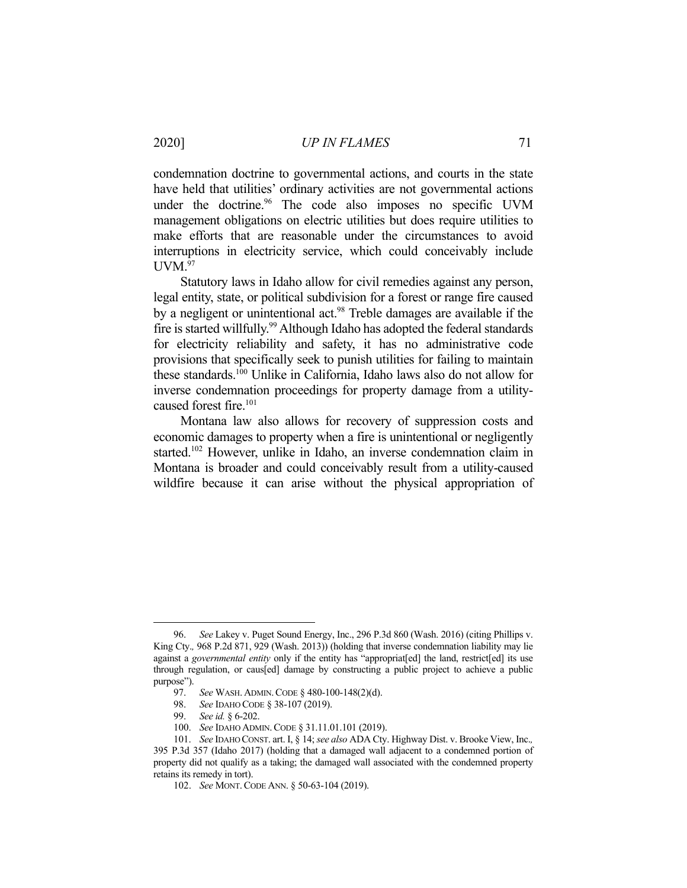condemnation doctrine to governmental actions, and courts in the state have held that utilities' ordinary activities are not governmental actions under the doctrine.<sup>96</sup> The code also imposes no specific UVM management obligations on electric utilities but does require utilities to make efforts that are reasonable under the circumstances to avoid interruptions in electricity service, which could conceivably include  $UVM.<sup>97</sup>$ 

 Statutory laws in Idaho allow for civil remedies against any person, legal entity, state, or political subdivision for a forest or range fire caused by a negligent or unintentional act. $98$  Treble damages are available if the fire is started willfully.<sup>99</sup> Although Idaho has adopted the federal standards for electricity reliability and safety, it has no administrative code provisions that specifically seek to punish utilities for failing to maintain these standards.100 Unlike in California, Idaho laws also do not allow for inverse condemnation proceedings for property damage from a utilitycaused forest fire.<sup>101</sup>

 Montana law also allows for recovery of suppression costs and economic damages to property when a fire is unintentional or negligently started.<sup>102</sup> However, unlike in Idaho, an inverse condemnation claim in Montana is broader and could conceivably result from a utility-caused wildfire because it can arise without the physical appropriation of

 <sup>96.</sup> *See* Lakey v. Puget Sound Energy, Inc., 296 P.3d 860 (Wash. 2016) (citing Phillips v. King Cty.*,* 968 P.2d 871, 929 (Wash. 2013)) (holding that inverse condemnation liability may lie against a *governmental entity* only if the entity has "appropriat[ed] the land, restrict[ed] its use through regulation, or caus[ed] damage by constructing a public project to achieve a public purpose").

 <sup>97.</sup> *See* WASH. ADMIN.CODE § 480-100-148(2)(d).

 <sup>98.</sup> *See* IDAHO CODE § 38-107 (2019).

 <sup>99.</sup> *See id.* § 6-202.

 <sup>100.</sup> *See* IDAHO ADMIN.CODE § 31.11.01.101 (2019).

 <sup>101.</sup> *See* IDAHO CONST. art. I, § 14; *see also* ADA Cty. Highway Dist. v. Brooke View, Inc.*,*  395 P.3d 357 (Idaho 2017) (holding that a damaged wall adjacent to a condemned portion of property did not qualify as a taking; the damaged wall associated with the condemned property retains its remedy in tort).

 <sup>102.</sup> *See* MONT.CODE ANN. § 50-63-104 (2019).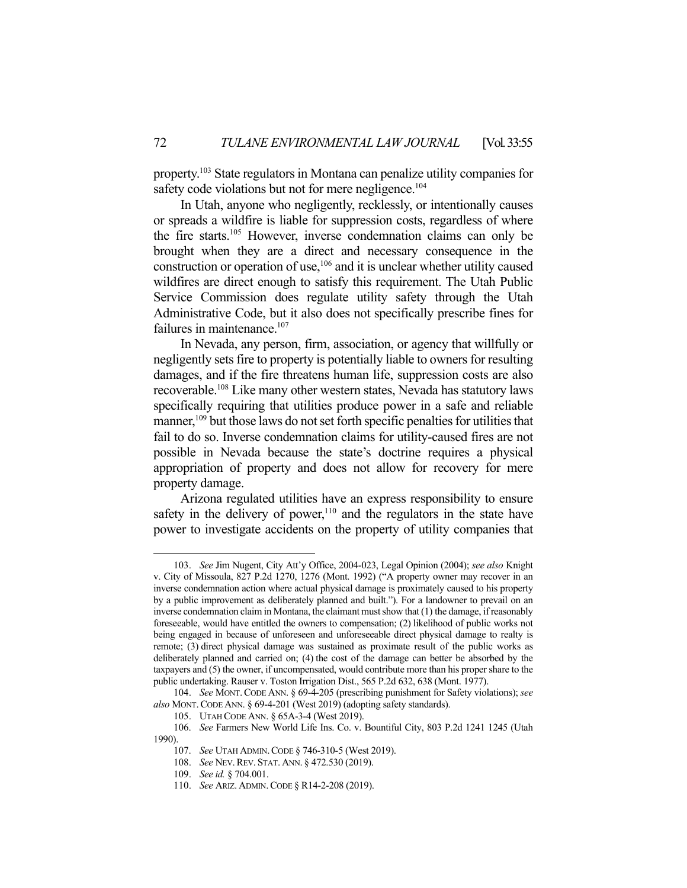property.103 State regulators in Montana can penalize utility companies for safety code violations but not for mere negligence.<sup>104</sup>

 In Utah, anyone who negligently, recklessly, or intentionally causes or spreads a wildfire is liable for suppression costs, regardless of where the fire starts.105 However, inverse condemnation claims can only be brought when they are a direct and necessary consequence in the construction or operation of use,106 and it is unclear whether utility caused wildfires are direct enough to satisfy this requirement. The Utah Public Service Commission does regulate utility safety through the Utah Administrative Code, but it also does not specifically prescribe fines for failures in maintenance.<sup>107</sup>

 In Nevada, any person, firm, association, or agency that willfully or negligently sets fire to property is potentially liable to owners for resulting damages, and if the fire threatens human life, suppression costs are also recoverable.108 Like many other western states, Nevada has statutory laws specifically requiring that utilities produce power in a safe and reliable manner,<sup>109</sup> but those laws do not set forth specific penalties for utilities that fail to do so. Inverse condemnation claims for utility-caused fires are not possible in Nevada because the state's doctrine requires a physical appropriation of property and does not allow for recovery for mere property damage.

 Arizona regulated utilities have an express responsibility to ensure safety in the delivery of power, $110$  and the regulators in the state have power to investigate accidents on the property of utility companies that

 <sup>103.</sup> *See* Jim Nugent, City Att'y Office, 2004-023, Legal Opinion (2004); *see also* Knight v. City of Missoula, 827 P.2d 1270, 1276 (Mont. 1992) ("A property owner may recover in an inverse condemnation action where actual physical damage is proximately caused to his property by a public improvement as deliberately planned and built."). For a landowner to prevail on an inverse condemnation claim in Montana, the claimant must show that (1) the damage, if reasonably foreseeable, would have entitled the owners to compensation; (2) likelihood of public works not being engaged in because of unforeseen and unforeseeable direct physical damage to realty is remote; (3) direct physical damage was sustained as proximate result of the public works as deliberately planned and carried on; (4) the cost of the damage can better be absorbed by the taxpayers and (5) the owner, if uncompensated, would contribute more than his proper share to the public undertaking. Rauser v. Toston Irrigation Dist., 565 P.2d 632, 638 (Mont. 1977).

 <sup>104.</sup> *See* MONT.CODE ANN. § 69-4-205 (prescribing punishment for Safety violations); *see*  also MONT. CODE ANN. § 69-4-201 (West 2019) (adopting safety standards).

 <sup>105.</sup> UTAH CODE ANN. § 65A-3-4 (West 2019).

 <sup>106.</sup> *See* Farmers New World Life Ins. Co. v. Bountiful City, 803 P.2d 1241 1245 (Utah 1990).

 <sup>107.</sup> *See* UTAH ADMIN.CODE § 746-310-5 (West 2019).

 <sup>108.</sup> *See* NEV.REV. STAT. ANN. § 472.530 (2019).

 <sup>109.</sup> *See id.* § 704.001.

 <sup>110.</sup> *See* ARIZ. ADMIN.CODE § R14-2-208 (2019).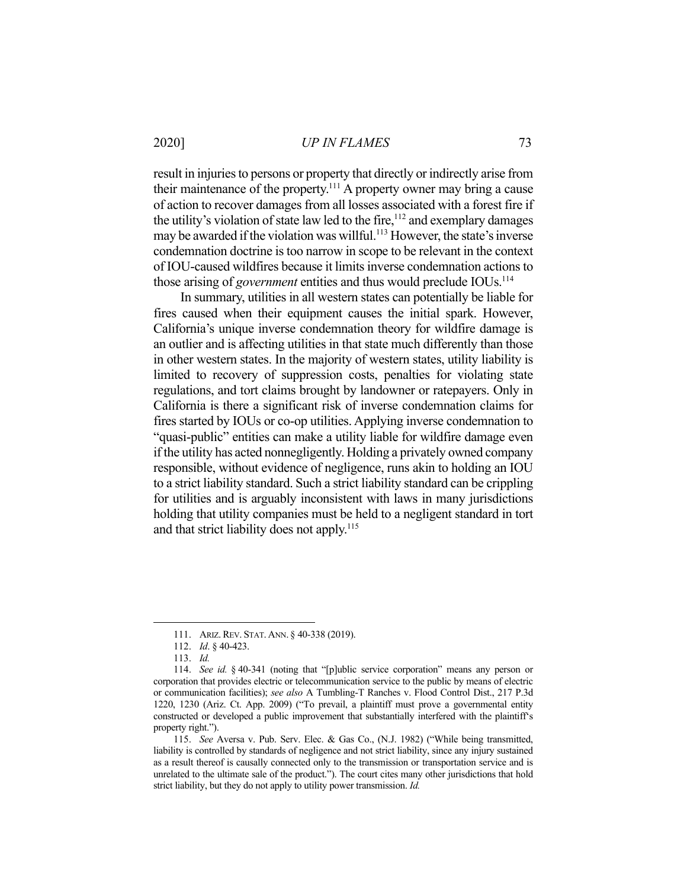#### 2020] *UP IN FLAMES* 73

result in injuries to persons or property that directly or indirectly arise from their maintenance of the property.111 A property owner may bring a cause of action to recover damages from all losses associated with a forest fire if the utility's violation of state law led to the fire, $112$  and exemplary damages may be awarded if the violation was willful.<sup>113</sup> However, the state's inverse condemnation doctrine is too narrow in scope to be relevant in the context of IOU-caused wildfires because it limits inverse condemnation actions to those arising of *government* entities and thus would preclude IOUs.<sup>114</sup>

 In summary, utilities in all western states can potentially be liable for fires caused when their equipment causes the initial spark. However, California's unique inverse condemnation theory for wildfire damage is an outlier and is affecting utilities in that state much differently than those in other western states. In the majority of western states, utility liability is limited to recovery of suppression costs, penalties for violating state regulations, and tort claims brought by landowner or ratepayers. Only in California is there a significant risk of inverse condemnation claims for fires started by IOUs or co-op utilities. Applying inverse condemnation to "quasi-public" entities can make a utility liable for wildfire damage even if the utility has acted nonnegligently. Holding a privately owned company responsible, without evidence of negligence, runs akin to holding an IOU to a strict liability standard. Such a strict liability standard can be crippling for utilities and is arguably inconsistent with laws in many jurisdictions holding that utility companies must be held to a negligent standard in tort and that strict liability does not apply.<sup>115</sup>

 <sup>111.</sup> ARIZ.REV. STAT. ANN. § 40-338 (2019).

 <sup>112.</sup> *Id*. § 40-423.

 <sup>113.</sup> *Id.*

 <sup>114.</sup> *See id.* § 40-341 (noting that "[p]ublic service corporation" means any person or corporation that provides electric or telecommunication service to the public by means of electric or communication facilities); *see also* A Tumbling-T Ranches v. Flood Control Dist., 217 P.3d 1220, 1230 (Ariz. Ct. App. 2009) ("To prevail, a plaintiff must prove a governmental entity constructed or developed a public improvement that substantially interfered with the plaintiff's property right.").

 <sup>115.</sup> *See* Aversa v. Pub. Serv. Elec. & Gas Co., (N.J. 1982) ("While being transmitted, liability is controlled by standards of negligence and not strict liability, since any injury sustained as a result thereof is causally connected only to the transmission or transportation service and is unrelated to the ultimate sale of the product."). The court cites many other jurisdictions that hold strict liability, but they do not apply to utility power transmission. *Id.*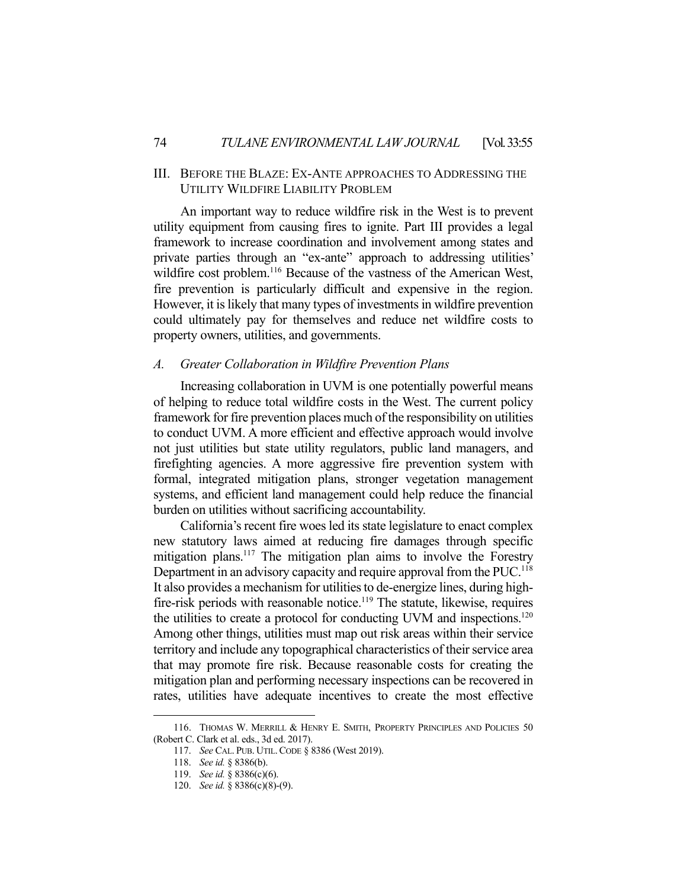# III. BEFORE THE BLAZE: EX-ANTE APPROACHES TO ADDRESSING THE UTILITY WILDFIRE LIABILITY PROBLEM

 An important way to reduce wildfire risk in the West is to prevent utility equipment from causing fires to ignite. Part III provides a legal framework to increase coordination and involvement among states and private parties through an "ex-ante" approach to addressing utilities' wildfire cost problem.<sup>116</sup> Because of the vastness of the American West, fire prevention is particularly difficult and expensive in the region. However, it is likely that many types of investments in wildfire prevention could ultimately pay for themselves and reduce net wildfire costs to property owners, utilities, and governments.

#### *A. Greater Collaboration in Wildfire Prevention Plans*

 Increasing collaboration in UVM is one potentially powerful means of helping to reduce total wildfire costs in the West. The current policy framework for fire prevention places much of the responsibility on utilities to conduct UVM. A more efficient and effective approach would involve not just utilities but state utility regulators, public land managers, and firefighting agencies. A more aggressive fire prevention system with formal, integrated mitigation plans, stronger vegetation management systems, and efficient land management could help reduce the financial burden on utilities without sacrificing accountability.

 California's recent fire woes led its state legislature to enact complex new statutory laws aimed at reducing fire damages through specific mitigation plans.<sup>117</sup> The mitigation plan aims to involve the Forestry Department in an advisory capacity and require approval from the PUC.<sup>118</sup> It also provides a mechanism for utilities to de-energize lines, during highfire-risk periods with reasonable notice.<sup>119</sup> The statute, likewise, requires the utilities to create a protocol for conducting UVM and inspections.<sup>120</sup> Among other things, utilities must map out risk areas within their service territory and include any topographical characteristics of their service area that may promote fire risk. Because reasonable costs for creating the mitigation plan and performing necessary inspections can be recovered in rates, utilities have adequate incentives to create the most effective

 <sup>116.</sup> THOMAS W. MERRILL & HENRY E. SMITH, PROPERTY PRINCIPLES AND POLICIES 50 (Robert C. Clark et al. eds., 3d ed. 2017).

 <sup>117.</sup> *See* CAL. PUB. UTIL.CODE § 8386 (West 2019).

 <sup>118.</sup> *See id.* § 8386(b).

 <sup>119.</sup> *See id.* § 8386(c)(6).

 <sup>120.</sup> *See id.* § 8386(c)(8)-(9).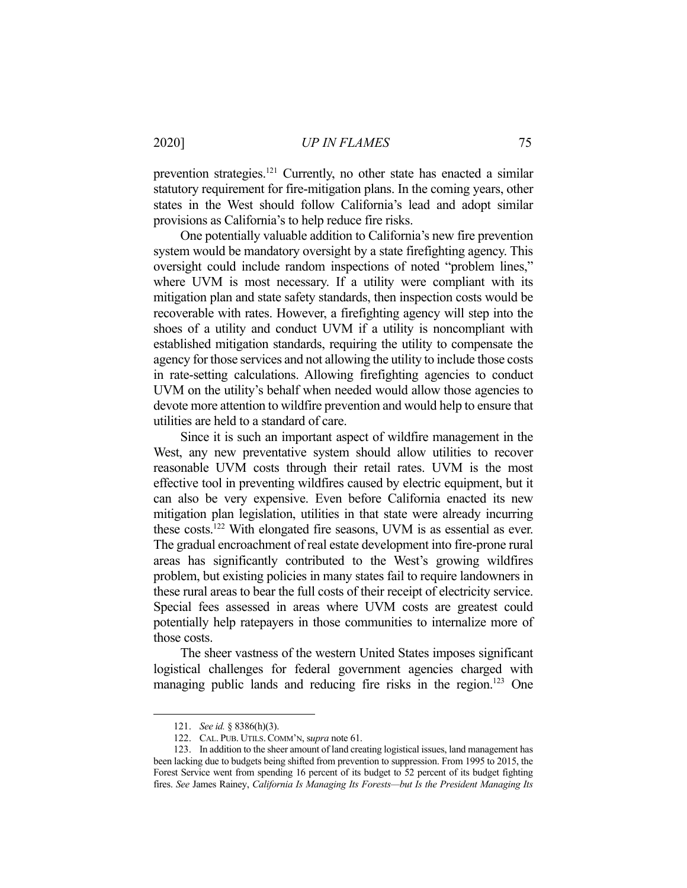prevention strategies.121 Currently, no other state has enacted a similar statutory requirement for fire-mitigation plans. In the coming years, other states in the West should follow California's lead and adopt similar provisions as California's to help reduce fire risks.

 One potentially valuable addition to California's new fire prevention system would be mandatory oversight by a state firefighting agency. This oversight could include random inspections of noted "problem lines," where UVM is most necessary. If a utility were compliant with its mitigation plan and state safety standards, then inspection costs would be recoverable with rates. However, a firefighting agency will step into the shoes of a utility and conduct UVM if a utility is noncompliant with established mitigation standards, requiring the utility to compensate the agency for those services and not allowing the utility to include those costs in rate-setting calculations. Allowing firefighting agencies to conduct UVM on the utility's behalf when needed would allow those agencies to devote more attention to wildfire prevention and would help to ensure that utilities are held to a standard of care.

 Since it is such an important aspect of wildfire management in the West, any new preventative system should allow utilities to recover reasonable UVM costs through their retail rates. UVM is the most effective tool in preventing wildfires caused by electric equipment, but it can also be very expensive. Even before California enacted its new mitigation plan legislation, utilities in that state were already incurring these costs.122 With elongated fire seasons, UVM is as essential as ever. The gradual encroachment of real estate development into fire-prone rural areas has significantly contributed to the West's growing wildfires problem, but existing policies in many states fail to require landowners in these rural areas to bear the full costs of their receipt of electricity service. Special fees assessed in areas where UVM costs are greatest could potentially help ratepayers in those communities to internalize more of those costs.

 The sheer vastness of the western United States imposes significant logistical challenges for federal government agencies charged with managing public lands and reducing fire risks in the region.<sup>123</sup> One

 <sup>121.</sup> *See id.* § 8386(h)(3).

 <sup>122.</sup> CAL. PUB. UTILS. COMM'N, s*upra* note 61.

 <sup>123.</sup> In addition to the sheer amount of land creating logistical issues, land management has been lacking due to budgets being shifted from prevention to suppression. From 1995 to 2015, the Forest Service went from spending 16 percent of its budget to 52 percent of its budget fighting fires. *See* James Rainey, *California Is Managing Its Forests—but Is the President Managing Its*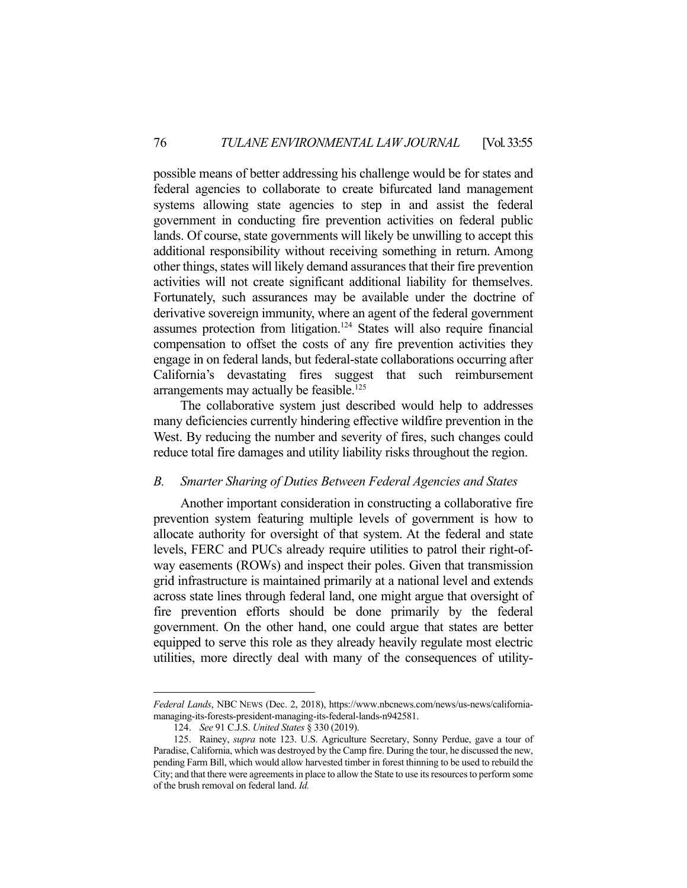possible means of better addressing his challenge would be for states and federal agencies to collaborate to create bifurcated land management systems allowing state agencies to step in and assist the federal government in conducting fire prevention activities on federal public lands. Of course, state governments will likely be unwilling to accept this additional responsibility without receiving something in return. Among other things, states will likely demand assurances that their fire prevention activities will not create significant additional liability for themselves. Fortunately, such assurances may be available under the doctrine of derivative sovereign immunity, where an agent of the federal government assumes protection from litigation.124 States will also require financial compensation to offset the costs of any fire prevention activities they engage in on federal lands, but federal-state collaborations occurring after California's devastating fires suggest that such reimbursement arrangements may actually be feasible.<sup>125</sup>

 The collaborative system just described would help to addresses many deficiencies currently hindering effective wildfire prevention in the West. By reducing the number and severity of fires, such changes could reduce total fire damages and utility liability risks throughout the region.

### *B. Smarter Sharing of Duties Between Federal Agencies and States*

 Another important consideration in constructing a collaborative fire prevention system featuring multiple levels of government is how to allocate authority for oversight of that system. At the federal and state levels, FERC and PUCs already require utilities to patrol their right-ofway easements (ROWs) and inspect their poles. Given that transmission grid infrastructure is maintained primarily at a national level and extends across state lines through federal land, one might argue that oversight of fire prevention efforts should be done primarily by the federal government. On the other hand, one could argue that states are better equipped to serve this role as they already heavily regulate most electric utilities, more directly deal with many of the consequences of utility-

*Federal Lands*, NBC NEWS (Dec. 2, 2018), https://www.nbcnews.com/news/us-news/californiamanaging-its-forests-president-managing-its-federal-lands-n942581.

 <sup>124.</sup> *See* 91 C.J.S. *United States* § 330 (2019).

 <sup>125.</sup> Rainey, *supra* note 123. U.S. Agriculture Secretary, Sonny Perdue, gave a tour of Paradise, California, which was destroyed by the Camp fire. During the tour, he discussed the new, pending Farm Bill, which would allow harvested timber in forest thinning to be used to rebuild the City; and that there were agreements in place to allow the State to use its resources to perform some of the brush removal on federal land. *Id.*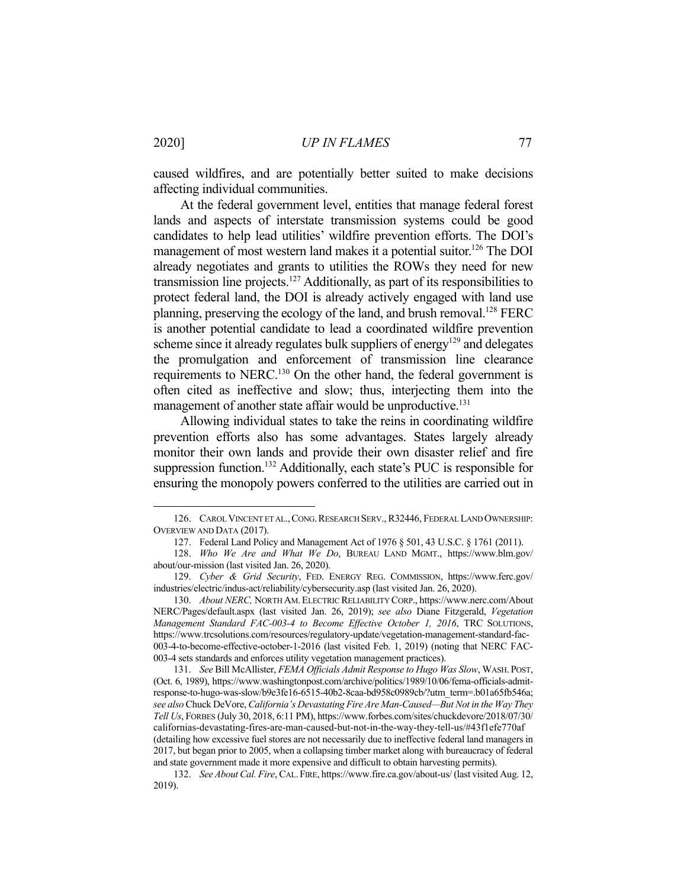caused wildfires, and are potentially better suited to make decisions affecting individual communities.

 At the federal government level, entities that manage federal forest lands and aspects of interstate transmission systems could be good candidates to help lead utilities' wildfire prevention efforts. The DOI's management of most western land makes it a potential suitor.<sup>126</sup> The DOI already negotiates and grants to utilities the ROWs they need for new transmission line projects.127 Additionally, as part of its responsibilities to protect federal land, the DOI is already actively engaged with land use planning, preserving the ecology of the land, and brush removal. 128 FERC is another potential candidate to lead a coordinated wildfire prevention scheme since it already regulates bulk suppliers of energy<sup>129</sup> and delegates the promulgation and enforcement of transmission line clearance requirements to NERC.130 On the other hand, the federal government is often cited as ineffective and slow; thus, interjecting them into the management of another state affair would be unproductive.<sup>131</sup>

 Allowing individual states to take the reins in coordinating wildfire prevention efforts also has some advantages. States largely already monitor their own lands and provide their own disaster relief and fire suppression function.<sup>132</sup> Additionally, each state's PUC is responsible for ensuring the monopoly powers conferred to the utilities are carried out in

<sup>126.</sup> CAROL VINCENT ET AL., CONG. RESEARCH SERV., R32446, FEDERAL LAND OWNERSHIP: OVERVIEW AND DATA (2017).

 <sup>127.</sup> Federal Land Policy and Management Act of 1976 § 501, 43 U.S.C. § 1761 (2011).

 <sup>128.</sup> *Who We Are and What We Do*, BUREAU LAND MGMT., https://www.blm.gov/ about/our-mission (last visited Jan. 26, 2020).

 <sup>129.</sup> *Cyber & Grid Security*, FED. ENERGY REG. COMMISSION, https://www.ferc.gov/ industries/electric/indus-act/reliability/cybersecurity.asp (last visited Jan. 26, 2020).

 <sup>130.</sup> *About NERC,* NORTH AM.ELECTRIC RELIABILITY CORP., https://www.nerc.com/About NERC/Pages/default.aspx (last visited Jan. 26, 2019); *see also* Diane Fitzgerald, *Vegetation Management Standard FAC-003-4 to Become Effective October 1, 2016*, TRC SOLUTIONS, https://www.trcsolutions.com/resources/regulatory-update/vegetation-management-standard-fac-003-4-to-become-effective-october-1-2016 (last visited Feb. 1, 2019) (noting that NERC FAC-003-4 sets standards and enforces utility vegetation management practices).

 <sup>131.</sup> *See* Bill McAllister, *FEMA Officials Admit Response to Hugo Was Slow*, WASH. POST, (Oct. 6, 1989), https://www.washingtonpost.com/archive/politics/1989/10/06/fema-officials-admitresponse-to-hugo-was-slow/b9e3fe16-6515-40b2-8caa-bd958c0989cb/?utm\_term=.b01a65fb546a; *see also* Chuck DeVore, *California's Devastating Fire Are Man-Caused—But Not in the Way They Tell Us*, FORBES (July 30, 2018, 6:11 PM), https://www.forbes.com/sites/chuckdevore/2018/07/30/ californias-devastating-fires-are-man-caused-but-not-in-the-way-they-tell-us/#43f1efe770af (detailing how excessive fuel stores are not necessarily due to ineffective federal land managers in 2017, but began prior to 2005, when a collapsing timber market along with bureaucracy of federal and state government made it more expensive and difficult to obtain harvesting permits).

 <sup>132.</sup> *See About Cal. Fire*, CAL.FIRE, https://www.fire.ca.gov/about-us/ (last visited Aug. 12, 2019).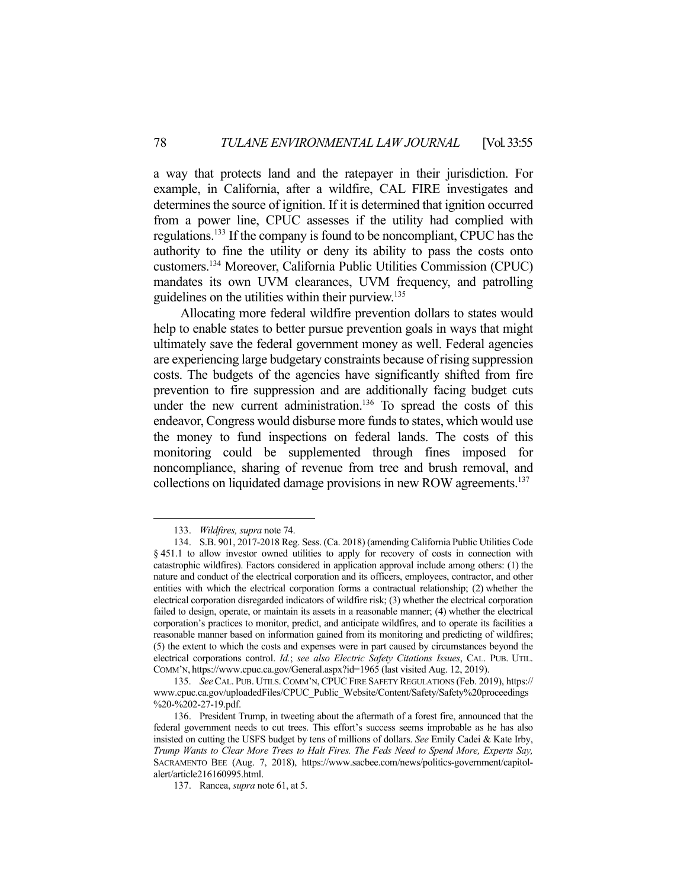a way that protects land and the ratepayer in their jurisdiction. For example, in California, after a wildfire, CAL FIRE investigates and determines the source of ignition. If it is determined that ignition occurred from a power line, CPUC assesses if the utility had complied with regulations.133 If the company is found to be noncompliant, CPUC has the authority to fine the utility or deny its ability to pass the costs onto customers.134 Moreover, California Public Utilities Commission (CPUC) mandates its own UVM clearances, UVM frequency, and patrolling guidelines on the utilities within their purview.135

 Allocating more federal wildfire prevention dollars to states would help to enable states to better pursue prevention goals in ways that might ultimately save the federal government money as well. Federal agencies are experiencing large budgetary constraints because of rising suppression costs. The budgets of the agencies have significantly shifted from fire prevention to fire suppression and are additionally facing budget cuts under the new current administration.<sup>136</sup> To spread the costs of this endeavor, Congress would disburse more funds to states, which would use the money to fund inspections on federal lands. The costs of this monitoring could be supplemented through fines imposed for noncompliance, sharing of revenue from tree and brush removal, and collections on liquidated damage provisions in new ROW agreements.<sup>137</sup>

 <sup>133.</sup> *Wildfires, supra* note 74.

 <sup>134.</sup> S.B. 901, 2017-2018 Reg. Sess. (Ca. 2018) (amending California Public Utilities Code § 451.1 to allow investor owned utilities to apply for recovery of costs in connection with catastrophic wildfires). Factors considered in application approval include among others: (1) the nature and conduct of the electrical corporation and its officers, employees, contractor, and other entities with which the electrical corporation forms a contractual relationship; (2) whether the electrical corporation disregarded indicators of wildfire risk; (3) whether the electrical corporation failed to design, operate, or maintain its assets in a reasonable manner; (4) whether the electrical corporation's practices to monitor, predict, and anticipate wildfires, and to operate its facilities a reasonable manner based on information gained from its monitoring and predicting of wildfires; (5) the extent to which the costs and expenses were in part caused by circumstances beyond the electrical corporations control. *Id.*; *see also Electric Safety Citations Issues*, CAL. PUB. UTIL. COMM'N, https://www.cpuc.ca.gov/General.aspx?id=1965 (last visited Aug. 12, 2019).

 <sup>135.</sup> *See*CAL. PUB. UTILS.COMM'N,CPUC FIRE SAFETY REGULATIONS (Feb. 2019), https:// www.cpuc.ca.gov/uploadedFiles/CPUC\_Public\_Website/Content/Safety/Safety%20proceedings %20-%202-27-19.pdf.

 <sup>136.</sup> President Trump, in tweeting about the aftermath of a forest fire, announced that the federal government needs to cut trees. This effort's success seems improbable as he has also insisted on cutting the USFS budget by tens of millions of dollars. *See* Emily Cadei & Kate Irby, *Trump Wants to Clear More Trees to Halt Fires. The Feds Need to Spend More, Experts Say,*  SACRAMENTO BEE (Aug. 7, 2018), https://www.sacbee.com/news/politics-government/capitolalert/article216160995.html.

 <sup>137.</sup> Rancea, *supra* note 61, at 5.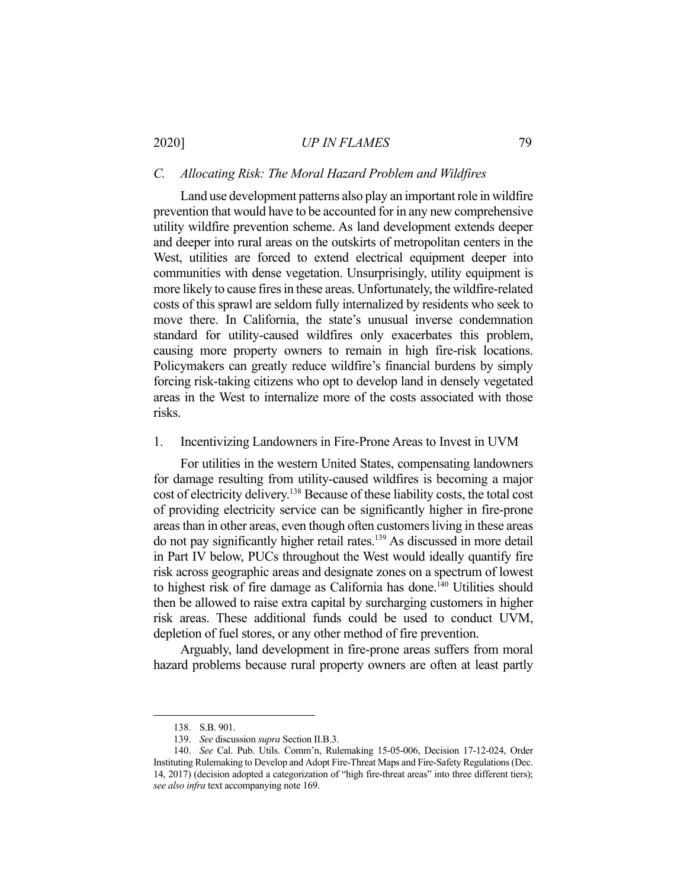# 2020] *UP IN FLAMES* 79

#### *C. Allocating Risk: The Moral Hazard Problem and Wildfires*

 Land use development patterns also play an important role in wildfire prevention that would have to be accounted for in any new comprehensive utility wildfire prevention scheme. As land development extends deeper and deeper into rural areas on the outskirts of metropolitan centers in the West, utilities are forced to extend electrical equipment deeper into communities with dense vegetation. Unsurprisingly, utility equipment is more likely to cause fires in these areas. Unfortunately, the wildfire-related costs of this sprawl are seldom fully internalized by residents who seek to move there. In California, the state's unusual inverse condemnation standard for utility-caused wildfires only exacerbates this problem, causing more property owners to remain in high fire-risk locations. Policymakers can greatly reduce wildfire's financial burdens by simply forcing risk-taking citizens who opt to develop land in densely vegetated areas in the West to internalize more of the costs associated with those risks.

#### 1. Incentivizing Landowners in Fire-Prone Areas to Invest in UVM

 For utilities in the western United States, compensating landowners for damage resulting from utility-caused wildfires is becoming a major cost of electricity delivery.138 Because of these liability costs, the total cost of providing electricity service can be significantly higher in fire-prone areas than in other areas, even though often customers living in these areas do not pay significantly higher retail rates.139 As discussed in more detail in Part IV below, PUCs throughout the West would ideally quantify fire risk across geographic areas and designate zones on a spectrum of lowest to highest risk of fire damage as California has done.<sup>140</sup> Utilities should then be allowed to raise extra capital by surcharging customers in higher risk areas. These additional funds could be used to conduct UVM, depletion of fuel stores, or any other method of fire prevention.

 Arguably, land development in fire-prone areas suffers from moral hazard problems because rural property owners are often at least partly

 <sup>138.</sup> S.B. 901.

 <sup>139.</sup> *See* discussion *supra* Section II.B.3.

 <sup>140.</sup> *See* Cal. Pub. Utils. Comm'n, Rulemaking 15-05-006, Decision 17-12-024, Order Instituting Rulemaking to Develop and Adopt Fire-Threat Maps and Fire-Safety Regulations (Dec. 14, 2017) (decision adopted a categorization of "high fire-threat areas" into three different tiers); *see also infra* text accompanying note 169.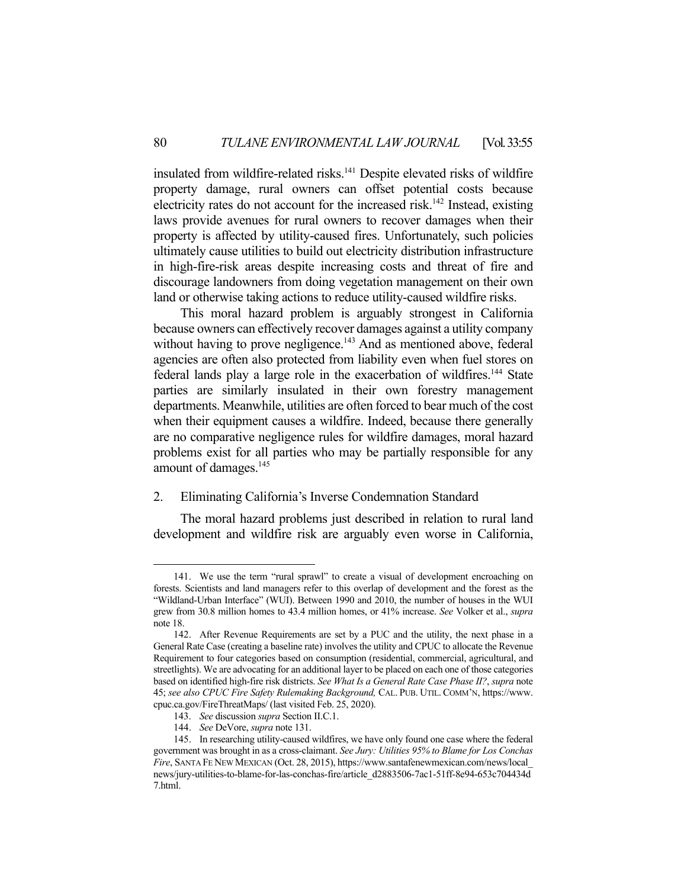insulated from wildfire-related risks.<sup>141</sup> Despite elevated risks of wildfire property damage, rural owners can offset potential costs because electricity rates do not account for the increased risk.<sup>142</sup> Instead, existing laws provide avenues for rural owners to recover damages when their property is affected by utility-caused fires. Unfortunately, such policies ultimately cause utilities to build out electricity distribution infrastructure in high-fire-risk areas despite increasing costs and threat of fire and discourage landowners from doing vegetation management on their own land or otherwise taking actions to reduce utility-caused wildfire risks.

 This moral hazard problem is arguably strongest in California because owners can effectively recover damages against a utility company without having to prove negligence.<sup>143</sup> And as mentioned above, federal agencies are often also protected from liability even when fuel stores on federal lands play a large role in the exacerbation of wildfires.<sup>144</sup> State parties are similarly insulated in their own forestry management departments. Meanwhile, utilities are often forced to bear much of the cost when their equipment causes a wildfire. Indeed, because there generally are no comparative negligence rules for wildfire damages, moral hazard problems exist for all parties who may be partially responsible for any amount of damages.<sup>145</sup>

### 2. Eliminating California's Inverse Condemnation Standard

 The moral hazard problems just described in relation to rural land development and wildfire risk are arguably even worse in California,

 <sup>141.</sup> We use the term "rural sprawl" to create a visual of development encroaching on forests. Scientists and land managers refer to this overlap of development and the forest as the "Wildland-Urban Interface" (WUI). Between 1990 and 2010, the number of houses in the WUI grew from 30.8 million homes to 43.4 million homes, or 41% increase. *See* Volker et al., *supra*  note 18.

 <sup>142.</sup> After Revenue Requirements are set by a PUC and the utility, the next phase in a General Rate Case (creating a baseline rate) involves the utility and CPUC to allocate the Revenue Requirement to four categories based on consumption (residential, commercial, agricultural, and streetlights). We are advocating for an additional layer to be placed on each one of those categories based on identified high-fire risk districts. *See What Is a General Rate Case Phase II?*, *supra* note 45; *see also CPUC Fire Safety Rulemaking Background,* CAL. PUB. UTIL. COMM'N, https://www. cpuc.ca.gov/FireThreatMaps/ (last visited Feb. 25, 2020).

 <sup>143.</sup> *See* discussion *supra* Section II.C.1.

 <sup>144.</sup> *See* DeVore, *supra* note 131.

 <sup>145.</sup> In researching utility-caused wildfires, we have only found one case where the federal government was brought in as a cross-claimant. *See Jury: Utilities 95% to Blame for Los Conchas Fire*, SANTA FE NEW MEXICAN (Oct. 28, 2015), https://www.santafenewmexican.com/news/local\_ news/jury-utilities-to-blame-for-las-conchas-fire/article\_d2883506-7ac1-51ff-8e94-653c704434d 7.html.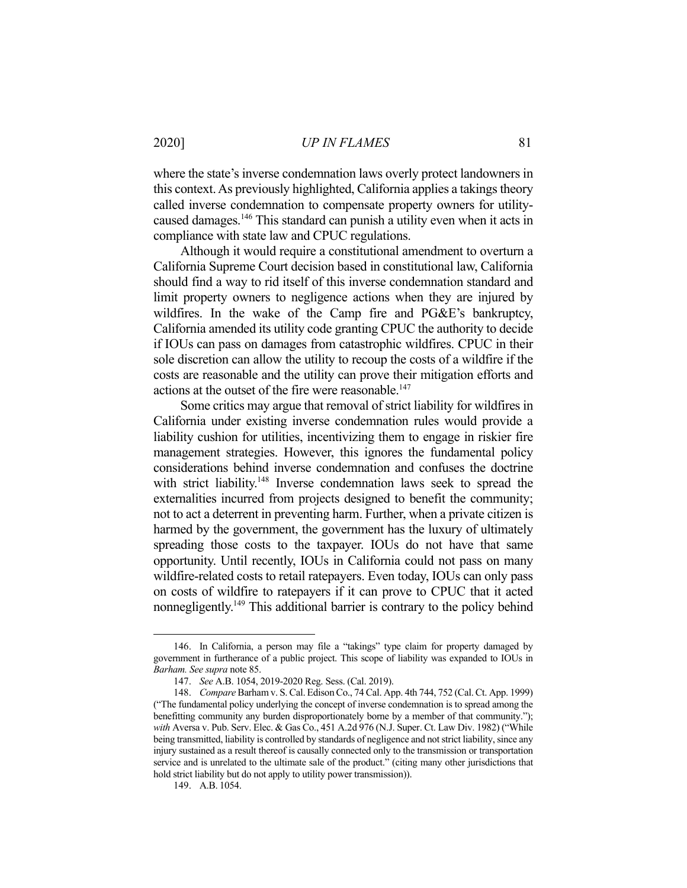where the state's inverse condemnation laws overly protect landowners in this context. As previously highlighted, California applies a takings theory called inverse condemnation to compensate property owners for utilitycaused damages.146 This standard can punish a utility even when it acts in compliance with state law and CPUC regulations.

 Although it would require a constitutional amendment to overturn a California Supreme Court decision based in constitutional law, California should find a way to rid itself of this inverse condemnation standard and limit property owners to negligence actions when they are injured by wildfires. In the wake of the Camp fire and PG&E's bankruptcy, California amended its utility code granting CPUC the authority to decide if IOUs can pass on damages from catastrophic wildfires. CPUC in their sole discretion can allow the utility to recoup the costs of a wildfire if the costs are reasonable and the utility can prove their mitigation efforts and actions at the outset of the fire were reasonable.<sup>147</sup>

 Some critics may argue that removal of strict liability for wildfires in California under existing inverse condemnation rules would provide a liability cushion for utilities, incentivizing them to engage in riskier fire management strategies. However, this ignores the fundamental policy considerations behind inverse condemnation and confuses the doctrine with strict liability.<sup>148</sup> Inverse condemnation laws seek to spread the externalities incurred from projects designed to benefit the community; not to act a deterrent in preventing harm. Further, when a private citizen is harmed by the government, the government has the luxury of ultimately spreading those costs to the taxpayer. IOUs do not have that same opportunity. Until recently, IOUs in California could not pass on many wildfire-related costs to retail ratepayers. Even today, IOUs can only pass on costs of wildfire to ratepayers if it can prove to CPUC that it acted nonnegligently.149 This additional barrier is contrary to the policy behind

149. A.B. 1054.

 <sup>146.</sup> In California, a person may file a "takings" type claim for property damaged by government in furtherance of a public project. This scope of liability was expanded to IOUs in *Barham. See supra* note 85.

 <sup>147.</sup> *See* A.B. 1054, 2019-2020 Reg. Sess. (Cal. 2019).

 <sup>148.</sup> *Compare* Barham v. S. Cal. Edison Co., 74 Cal. App. 4th 744, 752 (Cal. Ct. App. 1999) ("The fundamental policy underlying the concept of inverse condemnation is to spread among the benefitting community any burden disproportionately borne by a member of that community."); *with* Aversa v. Pub. Serv. Elec. & Gas Co., 451 A.2d 976 (N.J. Super. Ct. Law Div. 1982) ("While being transmitted, liability is controlled by standards of negligence and not strict liability, since any injury sustained as a result thereof is causally connected only to the transmission or transportation service and is unrelated to the ultimate sale of the product." (citing many other jurisdictions that hold strict liability but do not apply to utility power transmission)).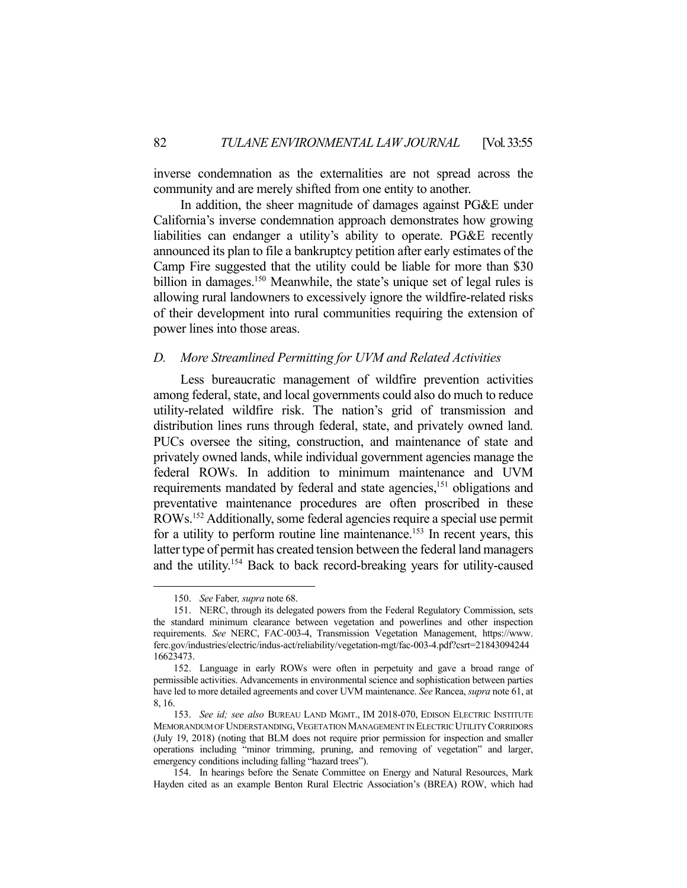inverse condemnation as the externalities are not spread across the community and are merely shifted from one entity to another.

 In addition, the sheer magnitude of damages against PG&E under California's inverse condemnation approach demonstrates how growing liabilities can endanger a utility's ability to operate. PG&E recently announced its plan to file a bankruptcy petition after early estimates of the Camp Fire suggested that the utility could be liable for more than \$30 billion in damages.<sup>150</sup> Meanwhile, the state's unique set of legal rules is allowing rural landowners to excessively ignore the wildfire-related risks of their development into rural communities requiring the extension of power lines into those areas.

### *D. More Streamlined Permitting for UVM and Related Activities*

 Less bureaucratic management of wildfire prevention activities among federal, state, and local governments could also do much to reduce utility-related wildfire risk. The nation's grid of transmission and distribution lines runs through federal, state, and privately owned land. PUCs oversee the siting, construction, and maintenance of state and privately owned lands, while individual government agencies manage the federal ROWs. In addition to minimum maintenance and UVM requirements mandated by federal and state agencies,<sup>151</sup> obligations and preventative maintenance procedures are often proscribed in these ROWs.152 Additionally, some federal agencies require a special use permit for a utility to perform routine line maintenance.<sup>153</sup> In recent years, this latter type of permit has created tension between the federal land managers and the utility.154 Back to back record-breaking years for utility-caused

 <sup>150.</sup> *See* Faber*, supra* note 68.

 <sup>151.</sup> NERC, through its delegated powers from the Federal Regulatory Commission, sets the standard minimum clearance between vegetation and powerlines and other inspection requirements. *See* NERC, FAC-003-4, Transmission Vegetation Management, https://www. ferc.gov/industries/electric/indus-act/reliability/vegetation-mgt/fac-003-4.pdf?csrt=21843094244 16623473.

 <sup>152.</sup> Language in early ROWs were often in perpetuity and gave a broad range of permissible activities. Advancements in environmental science and sophistication between parties have led to more detailed agreements and cover UVM maintenance. *See* Rancea, *supra* note 61, at 8, 16.

 <sup>153.</sup> *See id; see also* BUREAU LAND MGMT., IM 2018-070, EDISON ELECTRIC INSTITUTE MEMORANDUM OF UNDERSTANDING,VEGETATION MANAGEMENT IN ELECTRIC UTILITY CORRIDORS (July 19, 2018) (noting that BLM does not require prior permission for inspection and smaller operations including "minor trimming, pruning, and removing of vegetation" and larger, emergency conditions including falling "hazard trees").

 <sup>154.</sup> In hearings before the Senate Committee on Energy and Natural Resources, Mark Hayden cited as an example Benton Rural Electric Association's (BREA) ROW, which had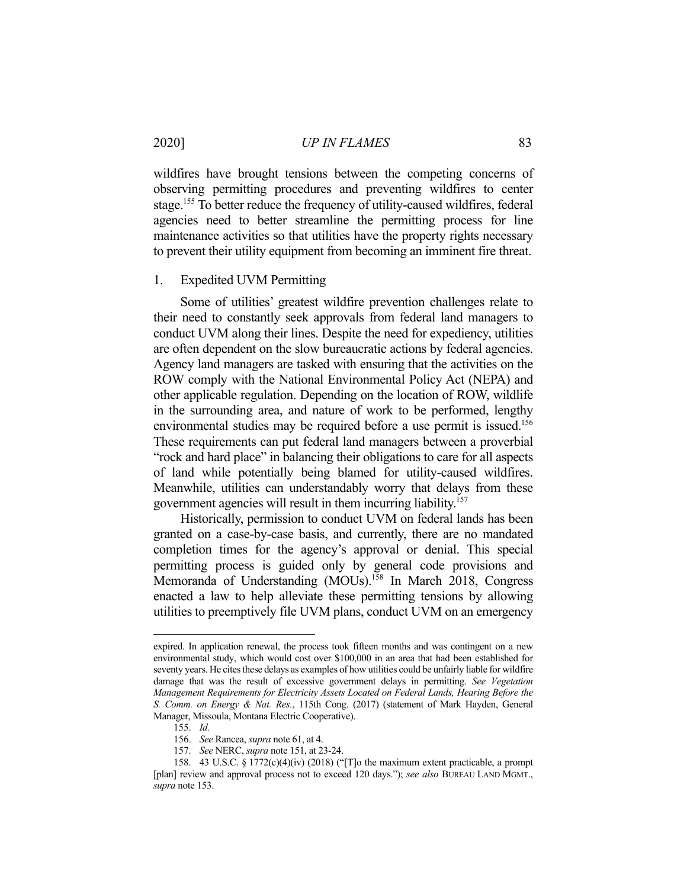wildfires have brought tensions between the competing concerns of observing permitting procedures and preventing wildfires to center stage.155 To better reduce the frequency of utility-caused wildfires, federal agencies need to better streamline the permitting process for line maintenance activities so that utilities have the property rights necessary to prevent their utility equipment from becoming an imminent fire threat.

### 1. Expedited UVM Permitting

 Some of utilities' greatest wildfire prevention challenges relate to their need to constantly seek approvals from federal land managers to conduct UVM along their lines. Despite the need for expediency, utilities are often dependent on the slow bureaucratic actions by federal agencies. Agency land managers are tasked with ensuring that the activities on the ROW comply with the National Environmental Policy Act (NEPA) and other applicable regulation. Depending on the location of ROW, wildlife in the surrounding area, and nature of work to be performed, lengthy environmental studies may be required before a use permit is issued.<sup>156</sup> These requirements can put federal land managers between a proverbial "rock and hard place" in balancing their obligations to care for all aspects of land while potentially being blamed for utility-caused wildfires. Meanwhile, utilities can understandably worry that delays from these government agencies will result in them incurring liability.157

 Historically, permission to conduct UVM on federal lands has been granted on a case-by-case basis, and currently, there are no mandated completion times for the agency's approval or denial. This special permitting process is guided only by general code provisions and Memoranda of Understanding (MOUs).<sup>158</sup> In March 2018, Congress enacted a law to help alleviate these permitting tensions by allowing utilities to preemptively file UVM plans, conduct UVM on an emergency

expired. In application renewal, the process took fifteen months and was contingent on a new environmental study, which would cost over \$100,000 in an area that had been established for seventy years. He cites these delays as examples of how utilities could be unfairly liable for wildfire damage that was the result of excessive government delays in permitting. *See Vegetation Management Requirements for Electricity Assets Located on Federal Lands, Hearing Before the S. Comm. on Energy & Nat. Res.*, 115th Cong. (2017) (statement of Mark Hayden, General Manager, Missoula, Montana Electric Cooperative).

 <sup>155.</sup> *Id.*

 <sup>156.</sup> *See* Rancea, *supra* note 61, at 4.

 <sup>157.</sup> *See* NERC, *supra* note 151, at 23-24.

 <sup>158. 43</sup> U.S.C. § 1772(c)(4)(iv) (2018) ("[T]o the maximum extent practicable, a prompt [plan] review and approval process not to exceed 120 days."); *see also* BUREAU LAND MGMT., *supra* note 153.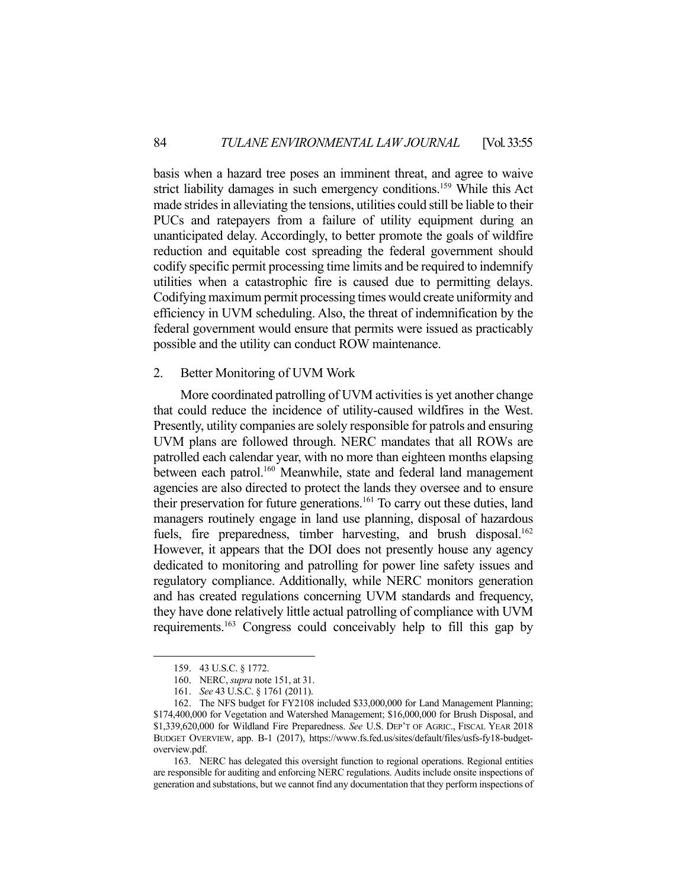basis when a hazard tree poses an imminent threat, and agree to waive strict liability damages in such emergency conditions.159 While this Act made strides in alleviating the tensions, utilities could still be liable to their PUCs and ratepayers from a failure of utility equipment during an unanticipated delay. Accordingly, to better promote the goals of wildfire reduction and equitable cost spreading the federal government should codify specific permit processing time limits and be required to indemnify utilities when a catastrophic fire is caused due to permitting delays. Codifying maximum permit processing times would create uniformity and efficiency in UVM scheduling. Also, the threat of indemnification by the federal government would ensure that permits were issued as practicably possible and the utility can conduct ROW maintenance.

#### 2. Better Monitoring of UVM Work

 More coordinated patrolling of UVM activities is yet another change that could reduce the incidence of utility-caused wildfires in the West. Presently, utility companies are solely responsible for patrols and ensuring UVM plans are followed through. NERC mandates that all ROWs are patrolled each calendar year, with no more than eighteen months elapsing between each patrol.<sup>160</sup> Meanwhile, state and federal land management agencies are also directed to protect the lands they oversee and to ensure their preservation for future generations.<sup>161</sup> To carry out these duties, land managers routinely engage in land use planning, disposal of hazardous fuels, fire preparedness, timber harvesting, and brush disposal.<sup>162</sup> However, it appears that the DOI does not presently house any agency dedicated to monitoring and patrolling for power line safety issues and regulatory compliance. Additionally, while NERC monitors generation and has created regulations concerning UVM standards and frequency, they have done relatively little actual patrolling of compliance with UVM requirements.163 Congress could conceivably help to fill this gap by

 163. NERC has delegated this oversight function to regional operations. Regional entities are responsible for auditing and enforcing NERC regulations. Audits include onsite inspections of generation and substations, but we cannot find any documentation that they perform inspections of

 <sup>159. 43</sup> U.S.C. § 1772.

 <sup>160.</sup> NERC, *supra* note 151, at 31.

 <sup>161.</sup> *See* 43 U.S.C. § 1761 (2011).

 <sup>162.</sup> The NFS budget for FY2108 included \$33,000,000 for Land Management Planning; \$174,400,000 for Vegetation and Watershed Management; \$16,000,000 for Brush Disposal, and \$1,339,620,000 for Wildland Fire Preparedness. *See* U.S. DEP'T OF AGRIC., FISCAL YEAR 2018 BUDGET OVERVIEW, app. B-1 (2017), https://www.fs.fed.us/sites/default/files/usfs-fy18-budgetoverview.pdf.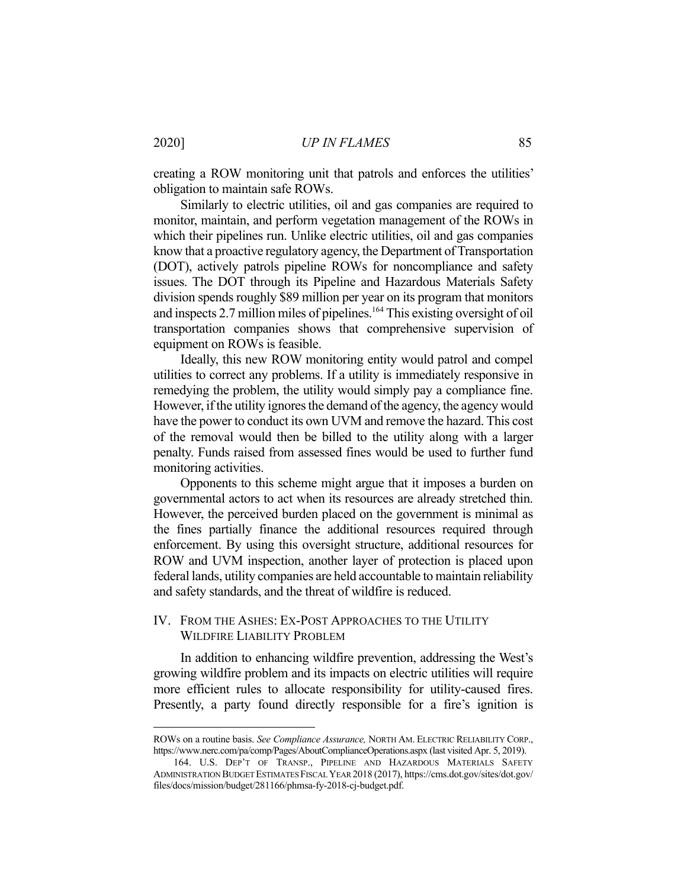creating a ROW monitoring unit that patrols and enforces the utilities' obligation to maintain safe ROWs.

 Similarly to electric utilities, oil and gas companies are required to monitor, maintain, and perform vegetation management of the ROWs in which their pipelines run. Unlike electric utilities, oil and gas companies know that a proactive regulatory agency, the Department of Transportation (DOT), actively patrols pipeline ROWs for noncompliance and safety issues. The DOT through its Pipeline and Hazardous Materials Safety division spends roughly \$89 million per year on its program that monitors and inspects 2.7 million miles of pipelines.<sup>164</sup> This existing oversight of oil transportation companies shows that comprehensive supervision of equipment on ROWs is feasible.

 Ideally, this new ROW monitoring entity would patrol and compel utilities to correct any problems. If a utility is immediately responsive in remedying the problem, the utility would simply pay a compliance fine. However, if the utility ignores the demand of the agency, the agency would have the power to conduct its own UVM and remove the hazard. This cost of the removal would then be billed to the utility along with a larger penalty. Funds raised from assessed fines would be used to further fund monitoring activities.

 Opponents to this scheme might argue that it imposes a burden on governmental actors to act when its resources are already stretched thin. However, the perceived burden placed on the government is minimal as the fines partially finance the additional resources required through enforcement. By using this oversight structure, additional resources for ROW and UVM inspection, another layer of protection is placed upon federal lands, utility companies are held accountable to maintain reliability and safety standards, and the threat of wildfire is reduced.

# IV. FROM THE ASHES: EX-POST APPROACHES TO THE UTILITY WILDFIRE LIABILITY PROBLEM

 In addition to enhancing wildfire prevention, addressing the West's growing wildfire problem and its impacts on electric utilities will require more efficient rules to allocate responsibility for utility-caused fires. Presently, a party found directly responsible for a fire's ignition is

ROWs on a routine basis. *See Compliance Assurance,* NORTH AM. ELECTRIC RELIABILITY CORP., https://www.nerc.com/pa/comp/Pages/AboutComplianceOperations.aspx (last visited Apr. 5, 2019).

 <sup>164.</sup> U.S. DEP'T OF TRANSP., PIPELINE AND HAZARDOUS MATERIALS SAFETY ADMINISTRATION BUDGET ESTIMATES FISCAL YEAR 2018 (2017), https://cms.dot.gov/sites/dot.gov/ files/docs/mission/budget/281166/phmsa-fy-2018-cj-budget.pdf.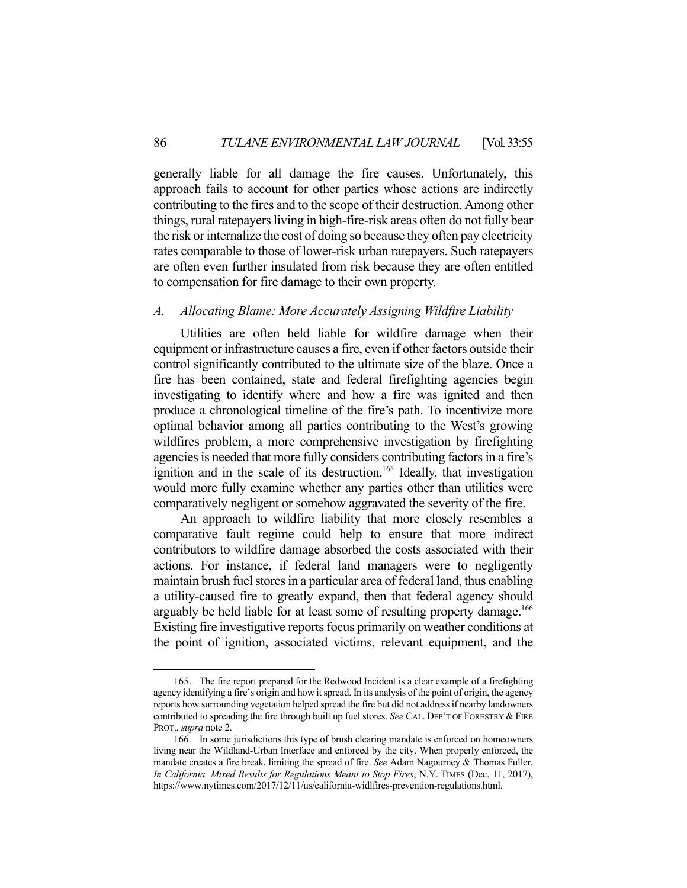generally liable for all damage the fire causes. Unfortunately, this approach fails to account for other parties whose actions are indirectly contributing to the fires and to the scope of their destruction. Among other things, rural ratepayers living in high-fire-risk areas often do not fully bear the risk or internalize the cost of doing so because they often pay electricity rates comparable to those of lower-risk urban ratepayers. Such ratepayers are often even further insulated from risk because they are often entitled to compensation for fire damage to their own property.

# *A. Allocating Blame: More Accurately Assigning Wildfire Liability*

 Utilities are often held liable for wildfire damage when their equipment or infrastructure causes a fire, even if other factors outside their control significantly contributed to the ultimate size of the blaze. Once a fire has been contained, state and federal firefighting agencies begin investigating to identify where and how a fire was ignited and then produce a chronological timeline of the fire's path. To incentivize more optimal behavior among all parties contributing to the West's growing wildfires problem, a more comprehensive investigation by firefighting agencies is needed that more fully considers contributing factors in a fire's ignition and in the scale of its destruction.<sup>165</sup> Ideally, that investigation would more fully examine whether any parties other than utilities were comparatively negligent or somehow aggravated the severity of the fire.

 An approach to wildfire liability that more closely resembles a comparative fault regime could help to ensure that more indirect contributors to wildfire damage absorbed the costs associated with their actions. For instance, if federal land managers were to negligently maintain brush fuel stores in a particular area of federal land, thus enabling a utility-caused fire to greatly expand, then that federal agency should arguably be held liable for at least some of resulting property damage.<sup>166</sup> Existing fire investigative reports focus primarily on weather conditions at the point of ignition, associated victims, relevant equipment, and the

 <sup>165.</sup> The fire report prepared for the Redwood Incident is a clear example of a firefighting agency identifying a fire's origin and how it spread. In its analysis of the point of origin, the agency reports how surrounding vegetation helped spread the fire but did not address if nearby landowners contributed to spreading the fire through built up fuel stores. *See* CAL. DEP'T OF FORESTRY & FIRE PROT., *supra* note 2.

 <sup>166.</sup> In some jurisdictions this type of brush clearing mandate is enforced on homeowners living near the Wildland-Urban Interface and enforced by the city. When properly enforced, the mandate creates a fire break, limiting the spread of fire. *See* Adam Nagourney & Thomas Fuller, *In California, Mixed Results for Regulations Meant to Stop Fires*, N.Y. TIMES (Dec. 11, 2017), https://www.nytimes.com/2017/12/11/us/california-widlfires-prevention-regulations.html.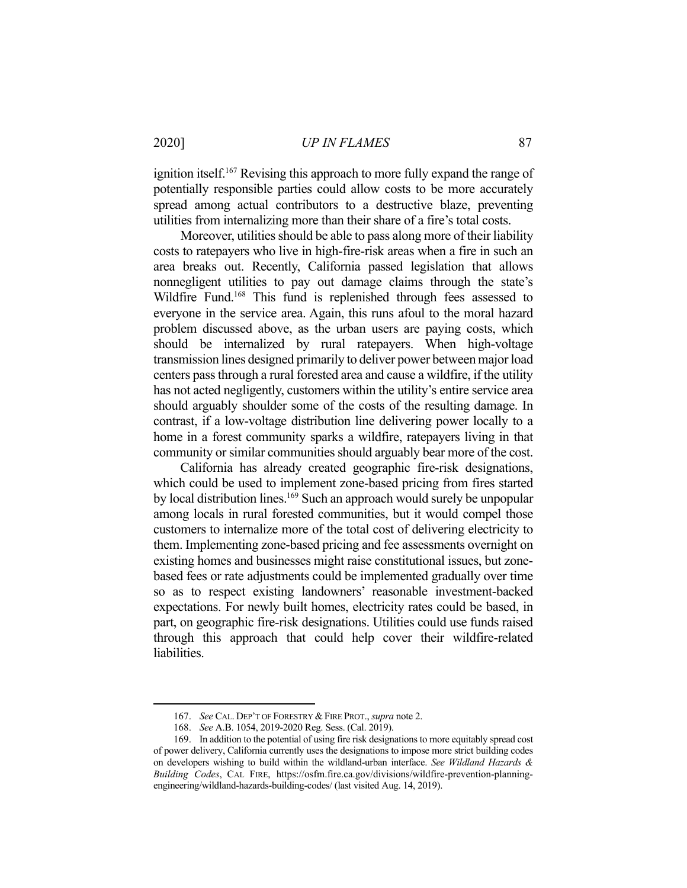ignition itself.<sup>167</sup> Revising this approach to more fully expand the range of potentially responsible parties could allow costs to be more accurately spread among actual contributors to a destructive blaze, preventing utilities from internalizing more than their share of a fire's total costs.

 Moreover, utilities should be able to pass along more of their liability costs to ratepayers who live in high-fire-risk areas when a fire in such an area breaks out. Recently, California passed legislation that allows nonnegligent utilities to pay out damage claims through the state's Wildfire Fund.<sup>168</sup> This fund is replenished through fees assessed to everyone in the service area. Again, this runs afoul to the moral hazard problem discussed above, as the urban users are paying costs, which should be internalized by rural ratepayers. When high-voltage transmission lines designed primarily to deliver power between major load centers pass through a rural forested area and cause a wildfire, if the utility has not acted negligently, customers within the utility's entire service area should arguably shoulder some of the costs of the resulting damage. In contrast, if a low-voltage distribution line delivering power locally to a home in a forest community sparks a wildfire, ratepayers living in that community or similar communities should arguably bear more of the cost.

 California has already created geographic fire-risk designations, which could be used to implement zone-based pricing from fires started by local distribution lines.<sup>169</sup> Such an approach would surely be unpopular among locals in rural forested communities, but it would compel those customers to internalize more of the total cost of delivering electricity to them. Implementing zone-based pricing and fee assessments overnight on existing homes and businesses might raise constitutional issues, but zonebased fees or rate adjustments could be implemented gradually over time so as to respect existing landowners' reasonable investment-backed expectations. For newly built homes, electricity rates could be based, in part, on geographic fire-risk designations. Utilities could use funds raised through this approach that could help cover their wildfire-related liabilities.

 <sup>167.</sup> *See* CAL. DEP'T OF FORESTRY & FIRE PROT., *supra* note 2.

 <sup>168.</sup> *See* A.B. 1054, 2019-2020 Reg. Sess. (Cal. 2019).

 <sup>169.</sup> In addition to the potential of using fire risk designations to more equitably spread cost of power delivery, California currently uses the designations to impose more strict building codes on developers wishing to build within the wildland-urban interface. *See Wildland Hazards & Building Codes*, CAL FIRE, https://osfm.fire.ca.gov/divisions/wildfire-prevention-planningengineering/wildland-hazards-building-codes/ (last visited Aug. 14, 2019).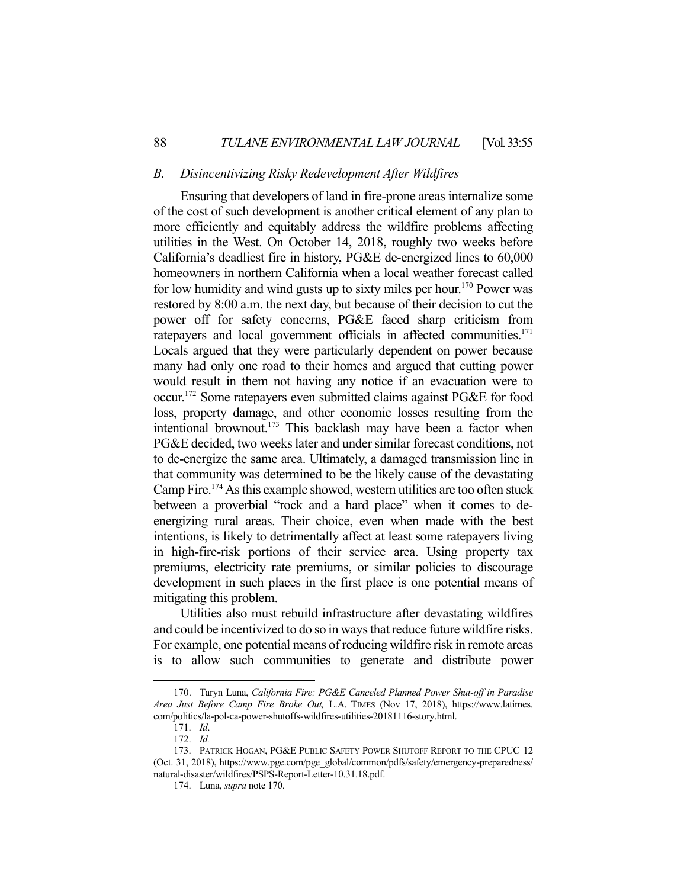#### *B. Disincentivizing Risky Redevelopment After Wildfires*

 Ensuring that developers of land in fire-prone areas internalize some of the cost of such development is another critical element of any plan to more efficiently and equitably address the wildfire problems affecting utilities in the West. On October 14, 2018, roughly two weeks before California's deadliest fire in history, PG&E de-energized lines to 60,000 homeowners in northern California when a local weather forecast called for low humidity and wind gusts up to sixty miles per hour.<sup>170</sup> Power was restored by 8:00 a.m. the next day, but because of their decision to cut the power off for safety concerns, PG&E faced sharp criticism from ratepayers and local government officials in affected communities.<sup>171</sup> Locals argued that they were particularly dependent on power because many had only one road to their homes and argued that cutting power would result in them not having any notice if an evacuation were to occur.172 Some ratepayers even submitted claims against PG&E for food loss, property damage, and other economic losses resulting from the intentional brownout.<sup>173</sup> This backlash may have been a factor when PG&E decided, two weeks later and under similar forecast conditions, not to de-energize the same area. Ultimately, a damaged transmission line in that community was determined to be the likely cause of the devastating Camp Fire.<sup>174</sup> As this example showed, western utilities are too often stuck between a proverbial "rock and a hard place" when it comes to deenergizing rural areas. Their choice, even when made with the best intentions, is likely to detrimentally affect at least some ratepayers living in high-fire-risk portions of their service area. Using property tax premiums, electricity rate premiums, or similar policies to discourage development in such places in the first place is one potential means of mitigating this problem.

 Utilities also must rebuild infrastructure after devastating wildfires and could be incentivized to do so in ways that reduce future wildfire risks. For example, one potential means of reducing wildfire risk in remote areas is to allow such communities to generate and distribute power

 <sup>170.</sup> Taryn Luna, *California Fire: PG&E Canceled Planned Power Shut-off in Paradise Area Just Before Camp Fire Broke Out,* L.A. TIMES (Nov 17, 2018), https://www.latimes. com/politics/la-pol-ca-power-shutoffs-wildfires-utilities-20181116-story.html.

 <sup>171.</sup> *Id*.

 <sup>172.</sup> *Id.*

 <sup>173.</sup> PATRICK HOGAN, PG&E PUBLIC SAFETY POWER SHUTOFF REPORT TO THE CPUC 12 (Oct. 31, 2018), https://www.pge.com/pge\_global/common/pdfs/safety/emergency-preparedness/ natural-disaster/wildfires/PSPS-Report-Letter-10.31.18.pdf.

 <sup>174.</sup> Luna, *supra* note 170.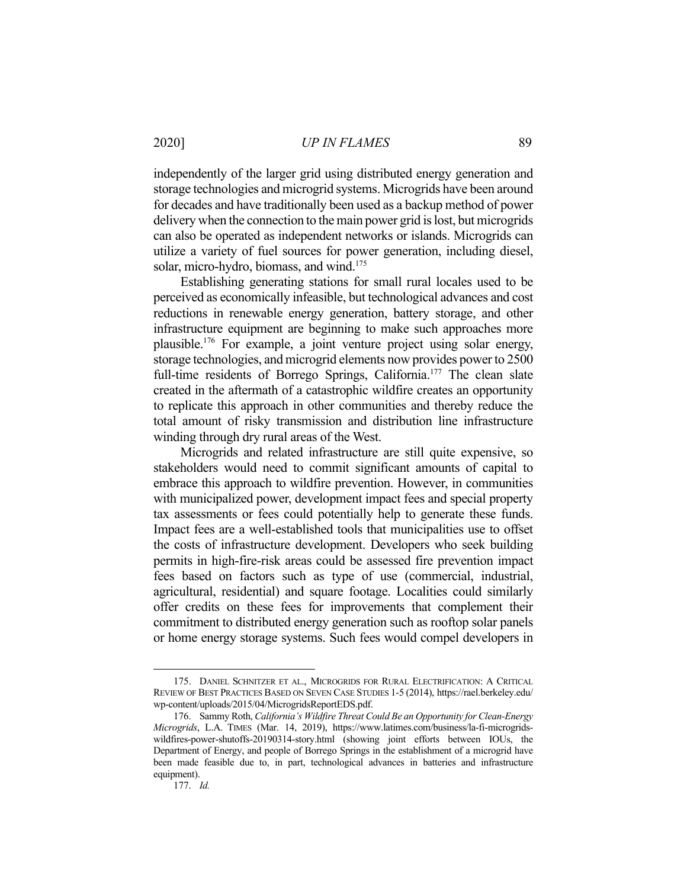independently of the larger grid using distributed energy generation and storage technologies and microgrid systems. Microgrids have been around for decades and have traditionally been used as a backup method of power delivery when the connection to the main power grid is lost, but microgrids can also be operated as independent networks or islands. Microgrids can utilize a variety of fuel sources for power generation, including diesel, solar, micro-hydro, biomass, and wind.<sup>175</sup>

 Establishing generating stations for small rural locales used to be perceived as economically infeasible, but technological advances and cost reductions in renewable energy generation, battery storage, and other infrastructure equipment are beginning to make such approaches more plausible.176 For example, a joint venture project using solar energy, storage technologies, and microgrid elements now provides power to 2500 full-time residents of Borrego Springs, California.<sup>177</sup> The clean slate created in the aftermath of a catastrophic wildfire creates an opportunity to replicate this approach in other communities and thereby reduce the total amount of risky transmission and distribution line infrastructure winding through dry rural areas of the West.

 Microgrids and related infrastructure are still quite expensive, so stakeholders would need to commit significant amounts of capital to embrace this approach to wildfire prevention. However, in communities with municipalized power, development impact fees and special property tax assessments or fees could potentially help to generate these funds. Impact fees are a well-established tools that municipalities use to offset the costs of infrastructure development. Developers who seek building permits in high-fire-risk areas could be assessed fire prevention impact fees based on factors such as type of use (commercial, industrial, agricultural, residential) and square footage. Localities could similarly offer credits on these fees for improvements that complement their commitment to distributed energy generation such as rooftop solar panels or home energy storage systems. Such fees would compel developers in

 <sup>175.</sup> DANIEL SCHNITZER ET AL., MICROGRIDS FOR RURAL ELECTRIFICATION: A CRITICAL REVIEW OF BEST PRACTICES BASED ON SEVEN CASE STUDIES 1-5 (2014), https://rael.berkeley.edu/ wp-content/uploads/2015/04/MicrogridsReportEDS.pdf.

 <sup>176.</sup> Sammy Roth, *California's Wildfire Threat Could Be an Opportunity for Clean-Energy Microgrids*, L.A. TIMES (Mar. 14, 2019), https://www.latimes.com/business/la-fi-microgridswildfires-power-shutoffs-20190314-story.html (showing joint efforts between IOUs, the Department of Energy, and people of Borrego Springs in the establishment of a microgrid have been made feasible due to, in part, technological advances in batteries and infrastructure equipment).

 <sup>177.</sup> *Id.*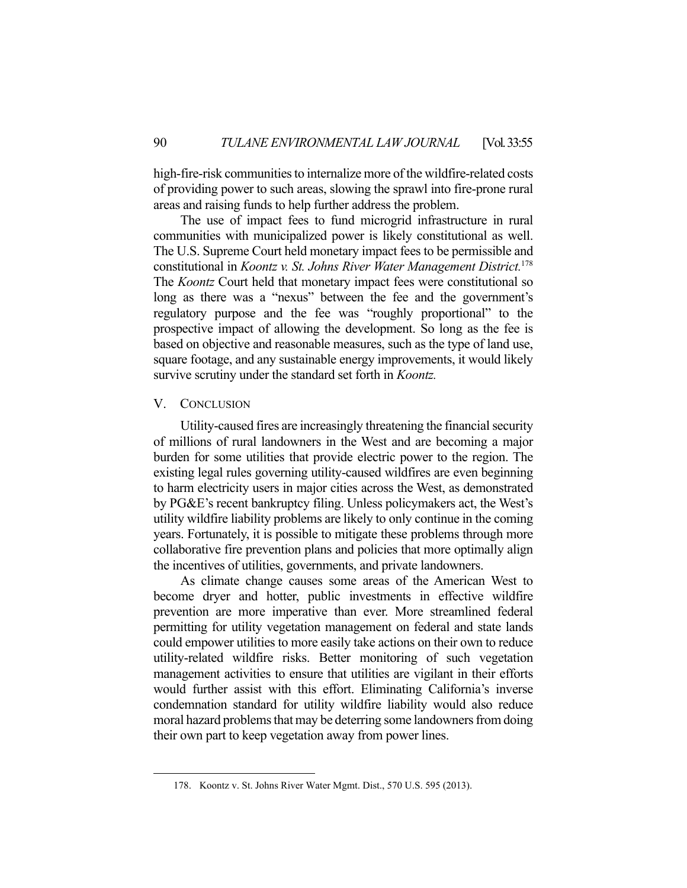high-fire-risk communities to internalize more of the wildfire-related costs of providing power to such areas, slowing the sprawl into fire-prone rural areas and raising funds to help further address the problem.

 The use of impact fees to fund microgrid infrastructure in rural communities with municipalized power is likely constitutional as well. The U.S. Supreme Court held monetary impact fees to be permissible and constitutional in *Koontz v. St. Johns River Water Management District.*<sup>178</sup> The *Koontz* Court held that monetary impact fees were constitutional so long as there was a "nexus" between the fee and the government's regulatory purpose and the fee was "roughly proportional" to the prospective impact of allowing the development. So long as the fee is based on objective and reasonable measures, such as the type of land use, square footage, and any sustainable energy improvements, it would likely survive scrutiny under the standard set forth in *Koontz.*

#### V. CONCLUSION

 Utility-caused fires are increasingly threatening the financial security of millions of rural landowners in the West and are becoming a major burden for some utilities that provide electric power to the region. The existing legal rules governing utility-caused wildfires are even beginning to harm electricity users in major cities across the West, as demonstrated by PG&E's recent bankruptcy filing. Unless policymakers act, the West's utility wildfire liability problems are likely to only continue in the coming years. Fortunately, it is possible to mitigate these problems through more collaborative fire prevention plans and policies that more optimally align the incentives of utilities, governments, and private landowners.

 As climate change causes some areas of the American West to become dryer and hotter, public investments in effective wildfire prevention are more imperative than ever. More streamlined federal permitting for utility vegetation management on federal and state lands could empower utilities to more easily take actions on their own to reduce utility-related wildfire risks. Better monitoring of such vegetation management activities to ensure that utilities are vigilant in their efforts would further assist with this effort. Eliminating California's inverse condemnation standard for utility wildfire liability would also reduce moral hazard problems that may be deterring some landowners from doing their own part to keep vegetation away from power lines.

 <sup>178.</sup> Koontz v. St. Johns River Water Mgmt. Dist., 570 U.S. 595 (2013).